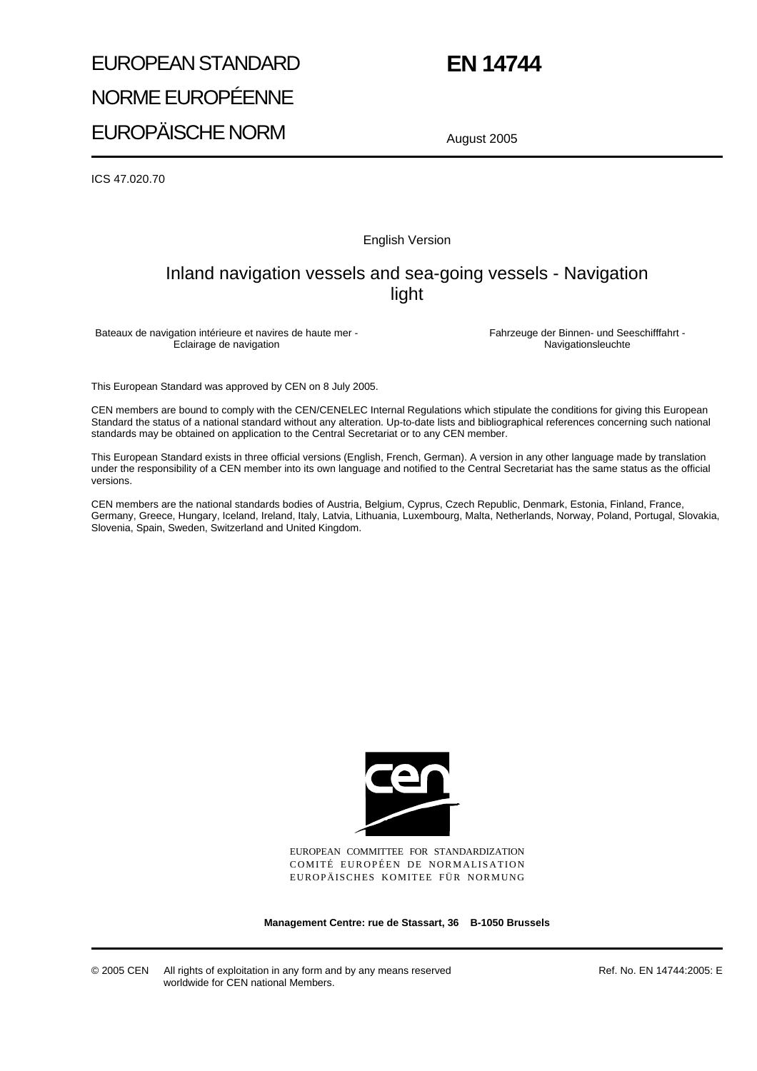# EUROPEAN STANDARD NORME EUROPÉENNE EUROPÄISCHE NORM

# **EN 14744**

August 2005

ICS 47.020.70

English Version

# Inland navigation vessels and sea-going vessels - Navigation light

Bateaux de navigation intérieure et navires de haute mer - Eclairage de navigation

Fahrzeuge der Binnen- und Seeschifffahrt - Navigationsleuchte

This European Standard was approved by CEN on 8 July 2005.

CEN members are bound to comply with the CEN/CENELEC Internal Regulations which stipulate the conditions for giving this European Standard the status of a national standard without any alteration. Up-to-date lists and bibliographical references concerning such national standards may be obtained on application to the Central Secretariat or to any CEN member.

This European Standard exists in three official versions (English, French, German). A version in any other language made by translation under the responsibility of a CEN member into its own language and notified to the Central Secretariat has the same status as the official versions.

CEN members are the national standards bodies of Austria, Belgium, Cyprus, Czech Republic, Denmark, Estonia, Finland, France, Germany, Greece, Hungary, Iceland, Ireland, Italy, Latvia, Lithuania, Luxembourg, Malta, Netherlands, Norway, Poland, Portugal, Slovakia, Slovenia, Spain, Sweden, Switzerland and United Kingdom.



EUROPEAN COMMITTEE FOR STANDARDIZATION COMITÉ EUROPÉEN DE NORMALISATION EUROPÄISCHES KOMITEE FÜR NORMUNG

**Management Centre: rue de Stassart, 36 B-1050 Brussels**

© 2005 CEN All rights of exploitation in any form and by any means reserved worldwide for CEN national Members.

Ref. No. EN 14744:2005: E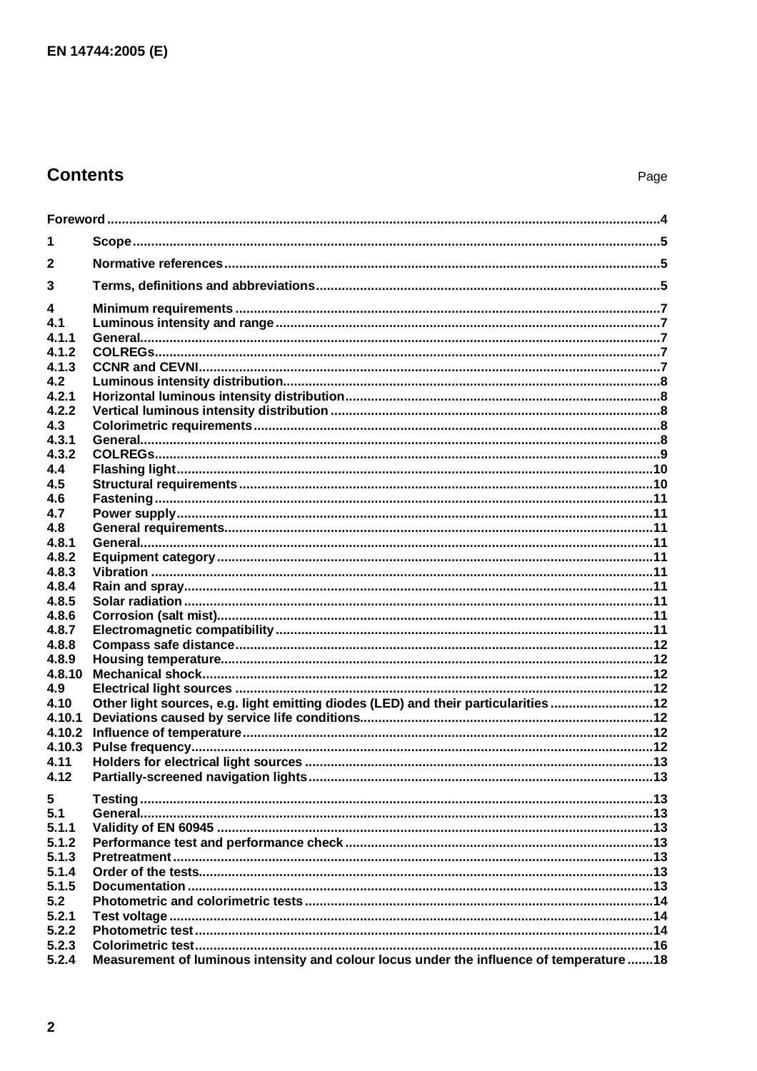# **Contents**

| 1            |                                                                                           |  |  |  |
|--------------|-------------------------------------------------------------------------------------------|--|--|--|
| $\mathbf{2}$ |                                                                                           |  |  |  |
| 3            |                                                                                           |  |  |  |
| 4            |                                                                                           |  |  |  |
| 4.1          |                                                                                           |  |  |  |
| 4.1.1        |                                                                                           |  |  |  |
| 4.1.2        |                                                                                           |  |  |  |
| 4.1.3        |                                                                                           |  |  |  |
| 4.2          |                                                                                           |  |  |  |
| 4.2.1        |                                                                                           |  |  |  |
| 4.2.2        |                                                                                           |  |  |  |
| 4.3          |                                                                                           |  |  |  |
| 4.3.1        |                                                                                           |  |  |  |
| 4.3.2        |                                                                                           |  |  |  |
| 4.4          |                                                                                           |  |  |  |
| 4.5          |                                                                                           |  |  |  |
| 4.6          |                                                                                           |  |  |  |
| 4.7          |                                                                                           |  |  |  |
| 4.8          |                                                                                           |  |  |  |
| 4.8.1        |                                                                                           |  |  |  |
| 4.8.2        |                                                                                           |  |  |  |
| 4.8.3        |                                                                                           |  |  |  |
| 4.8.4        |                                                                                           |  |  |  |
| 4.8.5        |                                                                                           |  |  |  |
| 4.8.6        |                                                                                           |  |  |  |
| 4.8.7        |                                                                                           |  |  |  |
| 4.8.8        |                                                                                           |  |  |  |
| 4.8.9        |                                                                                           |  |  |  |
| 4.8.10       |                                                                                           |  |  |  |
| 4.9          |                                                                                           |  |  |  |
| 4.10         | Other light sources, e.g. light emitting diodes (LED) and their particularities12         |  |  |  |
| 4.10.1       |                                                                                           |  |  |  |
| 4.10.2       |                                                                                           |  |  |  |
| 4.10.3       |                                                                                           |  |  |  |
| 4.11         |                                                                                           |  |  |  |
| 4.12         |                                                                                           |  |  |  |
| 5            |                                                                                           |  |  |  |
| 5.1          |                                                                                           |  |  |  |
| 5.1.1        |                                                                                           |  |  |  |
| 5.1.2        |                                                                                           |  |  |  |
| 5.1.3        |                                                                                           |  |  |  |
| 5.1.4        |                                                                                           |  |  |  |
| 5.1.5        |                                                                                           |  |  |  |
| 5.2          |                                                                                           |  |  |  |
| 5.2.1        |                                                                                           |  |  |  |
| 5.2.2        |                                                                                           |  |  |  |
| 5.2.3        |                                                                                           |  |  |  |
| 5.2.4        | Measurement of luminous intensity and colour locus under the influence of temperature  18 |  |  |  |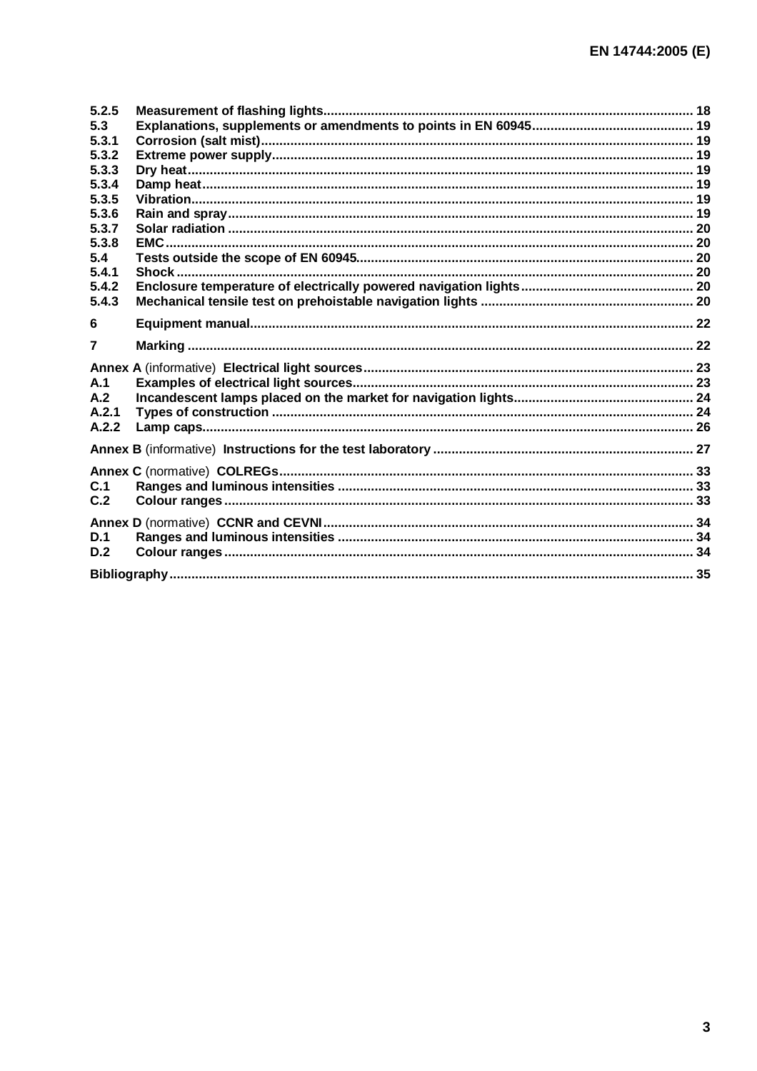| 5.2.5          |  |
|----------------|--|
| 5.3            |  |
| 5.3.1          |  |
| 5.3.2          |  |
| 5.3.3          |  |
| 5.3.4          |  |
| 5.3.5          |  |
| 5.3.6          |  |
| 5.3.7          |  |
| 5.3.8          |  |
| 5.4            |  |
| 5.4.1          |  |
| 5.4.2          |  |
| 5.4.3          |  |
| 6              |  |
| $\overline{7}$ |  |
|                |  |
| A.1            |  |
| A.2            |  |
| A.2.1          |  |
| A.2.2          |  |
|                |  |
|                |  |
| C.1            |  |
| C.2            |  |
|                |  |
|                |  |
| D.1            |  |
| D.2            |  |
|                |  |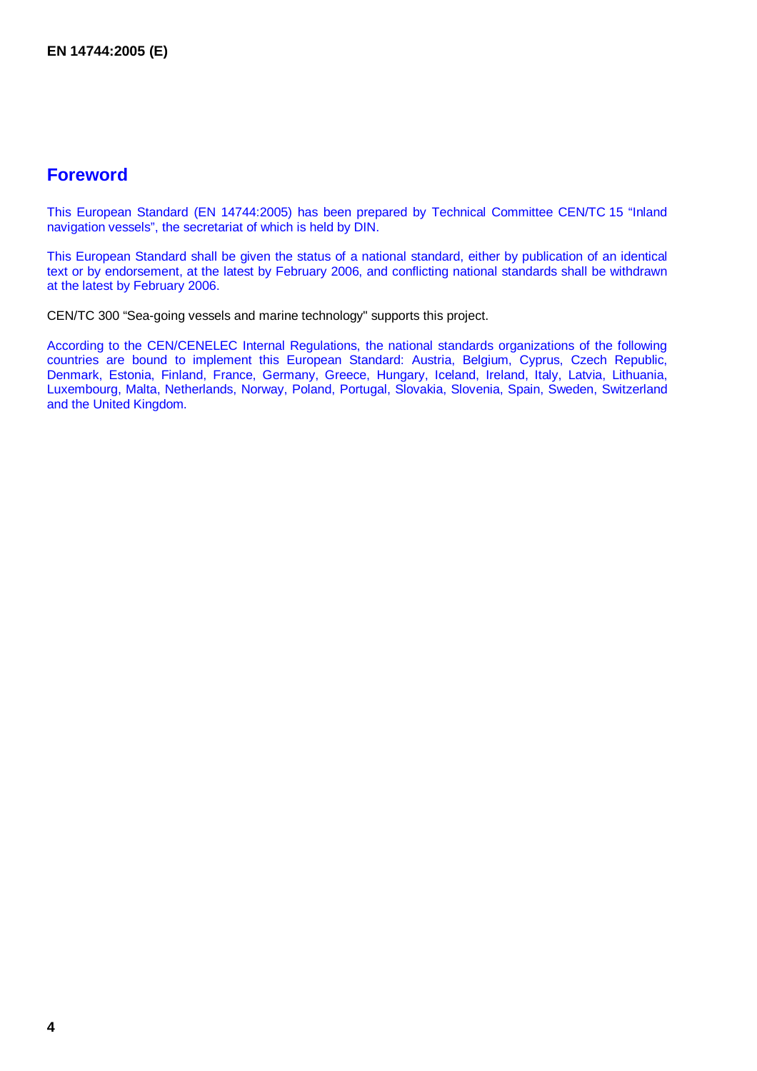# **Foreword**

This European Standard (EN 14744:2005) has been prepared by Technical Committee CEN/TC 15 "Inland navigation vessels", the secretariat of which is held by DIN.

This European Standard shall be given the status of a national standard, either by publication of an identical text or by endorsement, at the latest by February 2006, and conflicting national standards shall be withdrawn at the latest by February 2006.

CEN/TC 300 "Sea-going vessels and marine technology" supports this project.

According to the CEN/CENELEC Internal Regulations, the national standards organizations of the following countries are bound to implement this European Standard: Austria, Belgium, Cyprus, Czech Republic, Denmark, Estonia, Finland, France, Germany, Greece, Hungary, Iceland, Ireland, Italy, Latvia, Lithuania, Luxembourg, Malta, Netherlands, Norway, Poland, Portugal, Slovakia, Slovenia, Spain, Sweden, Switzerland and the United Kingdom.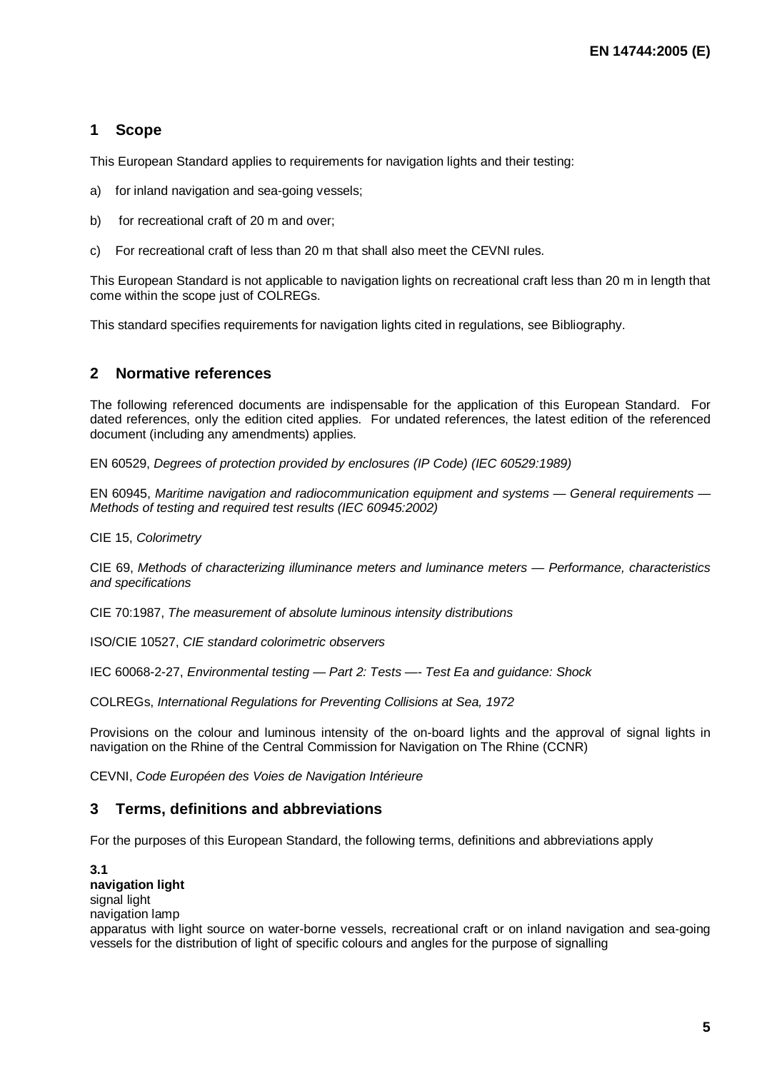#### **1 Scope**

This European Standard applies to requirements for navigation lights and their testing:

- a) for inland navigation and sea-going vessels;
- b) for recreational craft of 20 m and over;
- c) For recreational craft of less than 20 m that shall also meet the CEVNI rules.

This European Standard is not applicable to navigation lights on recreational craft less than 20 m in length that come within the scope just of COLREGs.

This standard specifies requirements for navigation lights cited in regulations, see Bibliography.

#### **2 Normative references**

The following referenced documents are indispensable for the application of this European Standard. For dated references, only the edition cited applies. For undated references, the latest edition of the referenced document (including any amendments) applies.

EN 60529, *Degrees of protection provided by enclosures (IP Code) (IEC 60529:1989)* 

EN 60945, *Maritime navigation and radiocommunication equipment and systems — General requirements — Methods of testing and required test results (IEC 60945:2002)*

CIE 15, *Colorimetry*

CIE 69, *Methods of characterizing illuminance meters and luminance meters — Performance, characteristics and specifications*

CIE 70:1987, *The measurement of absolute luminous intensity distributions*

ISO/CIE 10527, *CIE standard colorimetric observers* 

IEC 60068-2-27, *Environmental testing — Part 2: Tests —- Test Ea and guidance: Shock*

COLREGs, *International Regulations for Preventing Collisions at Sea, 1972* 

Provisions on the colour and luminous intensity of the on-board lights and the approval of signal lights in navigation on the Rhine of the Central Commission for Navigation on The Rhine (CCNR)

CEVNI, *Code Européen des Voies de Navigation Intérieure* 

#### **3 Terms, definitions and abbreviations**

For the purposes of this European Standard, the following terms, definitions and abbreviations apply

**3.1 navigation light**  signal light navigation lamp apparatus with light source on water-borne vessels, recreational craft or on inland navigation and sea-going vessels for the distribution of light of specific colours and angles for the purpose of signalling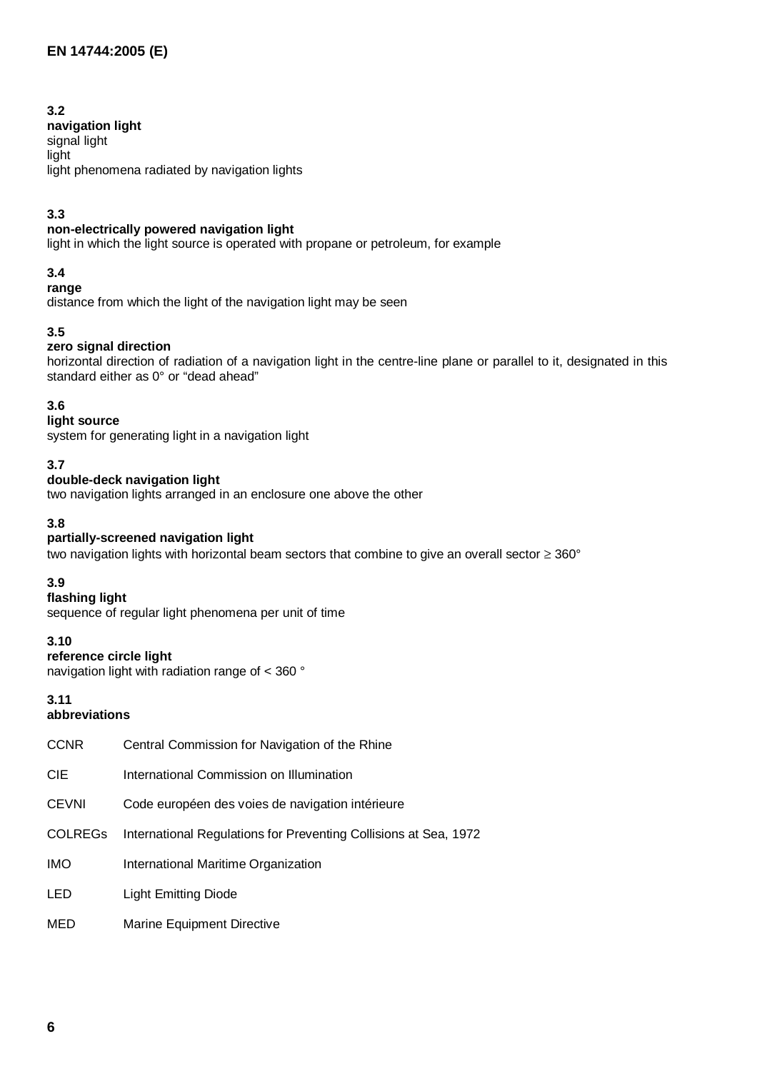#### **3.2**

**navigation light**  signal light light light phenomena radiated by navigation lights

#### **3.3**

#### **non-electrically powered navigation light**

light in which the light source is operated with propane or petroleum, for example

#### **3.4**

#### **range**

distance from which the light of the navigation light may be seen

#### **3.5**

#### **zero signal direction**

horizontal direction of radiation of a navigation light in the centre-line plane or parallel to it, designated in this standard either as 0° or "dead ahead"

### **3.6**

**light source** 

system for generating light in a navigation light

#### **3.7**

#### **double-deck navigation light**

two navigation lights arranged in an enclosure one above the other

#### **3.8**

#### **partially-screened navigation light**

two navigation lights with horizontal beam sectors that combine to give an overall sector ≥ 360°

### **3.9**

#### **flashing light**

sequence of regular light phenomena per unit of time

#### **3.10**

#### **reference circle light**

navigation light with radiation range of < 360 °

# **3.11**

#### **abbreviations**

| <b>CCNR</b>    | Central Commission for Navigation of the Rhine                   |
|----------------|------------------------------------------------------------------|
| <b>CIE</b>     | International Commission on Illumination                         |
| <b>CEVNI</b>   | Code européen des voies de navigation intérieure                 |
| <b>COLREGS</b> | International Regulations for Preventing Collisions at Sea, 1972 |
| <b>IMO</b>     | International Maritime Organization                              |
| LED            | <b>Light Emitting Diode</b>                                      |
| MED            | Marine Equipment Directive                                       |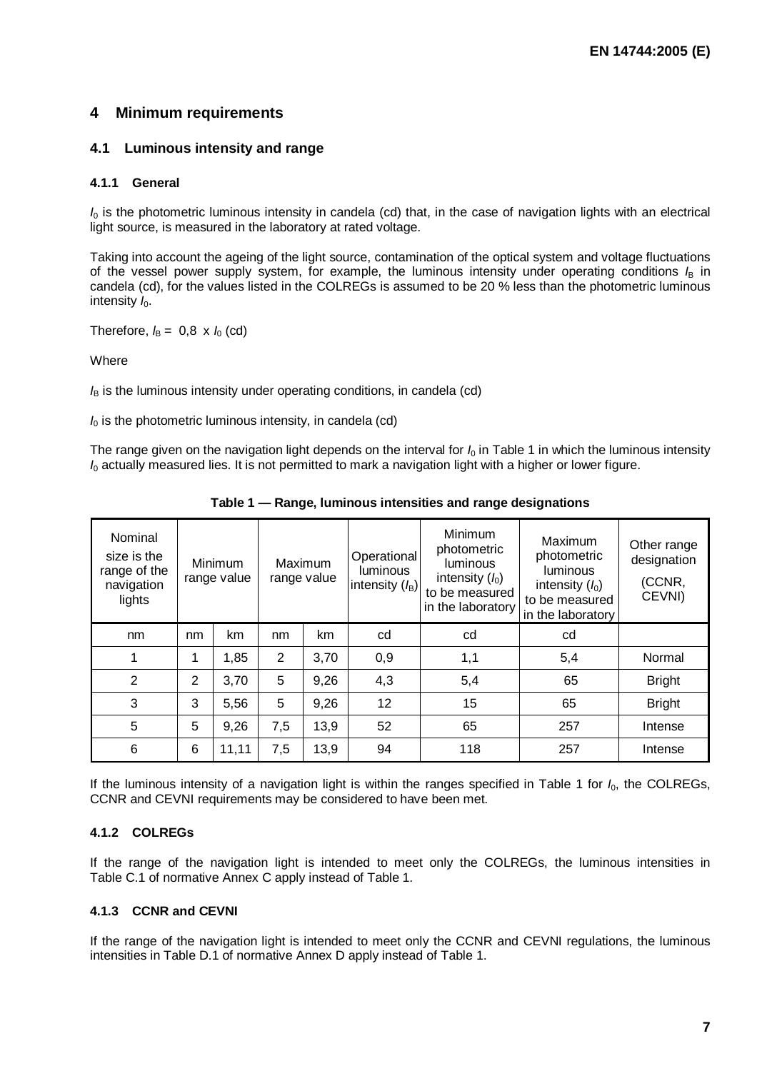#### **4 Minimum requirements**

#### **4.1 Luminous intensity and range**

#### **4.1.1 General**

*I*0 is the photometric luminous intensity in candela (cd) that, in the case of navigation lights with an electrical light source, is measured in the laboratory at rated voltage.

Taking into account the ageing of the light source, contamination of the optical system and voltage fluctuations of the vessel power supply system, for example, the luminous intensity under operating conditions *I*B in candela (cd), for the values listed in the COLREGs is assumed to be 20 % less than the photometric luminous intensity *I*<sub>0</sub>.

Therefore,  $I_B = 0.8 \times I_0$  (cd)

**Where** 

*I*<sub>B</sub> is the luminous intensity under operating conditions, in candela (cd)

 $I<sub>0</sub>$  is the photometric luminous intensity, in candela (cd)

The range given on the navigation light depends on the interval for  $I_0$  in Table 1 in which the luminous intensity *I*0 actually measured lies. It is not permitted to mark a navigation light with a higher or lower figure.

| Nominal<br>size is the<br>Minimum<br>range of the<br>range value<br>navigation<br>lights |                |       | Maximum<br>range value | Operational<br><b>luminous</b><br>intensity (lB) | Minimum<br>photometric<br><b>luminous</b><br>intensity $(l_0)$<br>to be measured<br>in the laboratory | Maximum<br>photometric<br><b>luminous</b><br>intensity $(l_0)$<br>to be measured<br>in the laboratory | Other range<br>designation<br>(CCNR,<br>CEVNI) |               |
|------------------------------------------------------------------------------------------|----------------|-------|------------------------|--------------------------------------------------|-------------------------------------------------------------------------------------------------------|-------------------------------------------------------------------------------------------------------|------------------------------------------------|---------------|
| nm                                                                                       | nm             | km    | nm                     | km                                               | cd                                                                                                    | cd                                                                                                    | cd                                             |               |
| 1                                                                                        | 1              | 1,85  | $\overline{2}$         | 3,70                                             | 0,9                                                                                                   | 1,1                                                                                                   | 5,4                                            | Normal        |
| $\overline{2}$                                                                           | $\overline{2}$ | 3,70  | 5                      | 9,26                                             | 4,3                                                                                                   | 5,4                                                                                                   | 65                                             | <b>Bright</b> |
| 3                                                                                        | 3              | 5,56  | 5                      | 9,26                                             | 12                                                                                                    | 15                                                                                                    | 65                                             | <b>Bright</b> |
| 5                                                                                        | 5              | 9,26  | 7,5                    | 13,9                                             | 52                                                                                                    | 65                                                                                                    | 257                                            | Intense       |
| 6                                                                                        | 6              | 11,11 | 7,5                    | 13,9                                             | 94                                                                                                    | 118                                                                                                   | 257                                            | Intense       |

**Table 1 — Range, luminous intensities and range designations** 

If the luminous intensity of a navigation light is within the ranges specified in Table 1 for *I*0, the COLREGs, CCNR and CEVNI requirements may be considered to have been met.

#### **4.1.2 COLREGs**

If the range of the navigation light is intended to meet only the COLREGs, the luminous intensities in Table C.1 of normative Annex C apply instead of Table 1.

#### **4.1.3 CCNR and CEVNI**

If the range of the navigation light is intended to meet only the CCNR and CEVNI regulations, the luminous intensities in Table D.1 of normative Annex D apply instead of Table 1.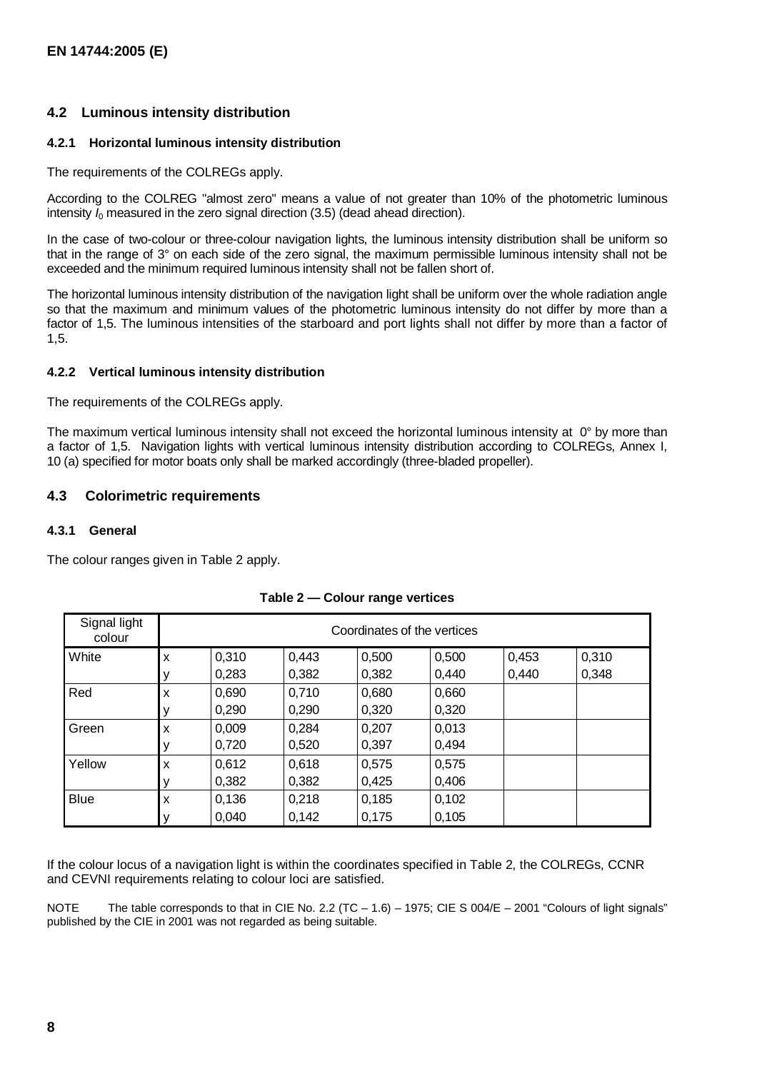#### **4.2 Luminous intensity distribution**

#### **4.2.1 Horizontal luminous intensity distribution**

The requirements of the COLREGs apply.

According to the COLREG "almost zero" means a value of not greater than 10% of the photometric luminous intensity  $I_0$  measured in the zero signal direction  $(3.5)$  (dead ahead direction).

In the case of two-colour or three-colour navigation lights, the luminous intensity distribution shall be uniform so that in the range of 3° on each side of the zero signal, the maximum permissible luminous intensity shall not be exceeded and the minimum required luminous intensity shall not be fallen short of.

The horizontal luminous intensity distribution of the navigation light shall be uniform over the whole radiation angle so that the maximum and minimum values of the photometric luminous intensity do not differ by more than a factor of 1,5. The luminous intensities of the starboard and port lights shall not differ by more than a factor of 1,5.

#### **4.2.2 Vertical luminous intensity distribution**

The requirements of the COLREGs apply.

The maximum vertical luminous intensity shall not exceed the horizontal luminous intensity at 0° by more than a factor of 1,5. Navigation lights with vertical luminous intensity distribution according to COLREGs, Annex I, 10 (a) specified for motor boats only shall be marked accordingly (three-bladed propeller).

#### **4.3 Colorimetric requirements**

#### **4.3.1 General**

The colour ranges given in Table 2 apply.

| Signal light<br>colour | Coordinates of the vertices |       |       |       |       |       |       |  |  |
|------------------------|-----------------------------|-------|-------|-------|-------|-------|-------|--|--|
| White                  | X                           | 0,310 | 0,443 | 0,500 | 0,500 | 0,453 | 0,310 |  |  |
|                        |                             | 0,283 | 0,382 | 0,382 | 0.440 | 0,440 | 0,348 |  |  |
| Red                    | X                           | 0,690 | 0,710 | 0,680 | 0,660 |       |       |  |  |
|                        | ν                           | 0,290 | 0,290 | 0,320 | 0,320 |       |       |  |  |
| Green                  | X                           | 0,009 | 0,284 | 0,207 | 0,013 |       |       |  |  |
|                        | ν                           | 0,720 | 0,520 | 0,397 | 0.494 |       |       |  |  |
| Yellow                 | X                           | 0,612 | 0,618 | 0,575 | 0,575 |       |       |  |  |
|                        |                             | 0,382 | 0,382 | 0,425 | 0,406 |       |       |  |  |
| <b>Blue</b>            | X                           | 0,136 | 0,218 | 0,185 | 0,102 |       |       |  |  |
|                        | ν                           | 0,040 | 0.142 | 0.175 | 0.105 |       |       |  |  |

#### **Table 2 — Colour range vertices**

If the colour locus of a navigation light is within the coordinates specified in Table 2, the COLREGs, CCNR and CEVNI requirements relating to colour loci are satisfied.

NOTE The table corresponds to that in CIE No. 2.2 (TC – 1.6) – 1975; CIE S 004/E – 2001 "Colours of light signals" published by the CIE in 2001 was not regarded as being suitable.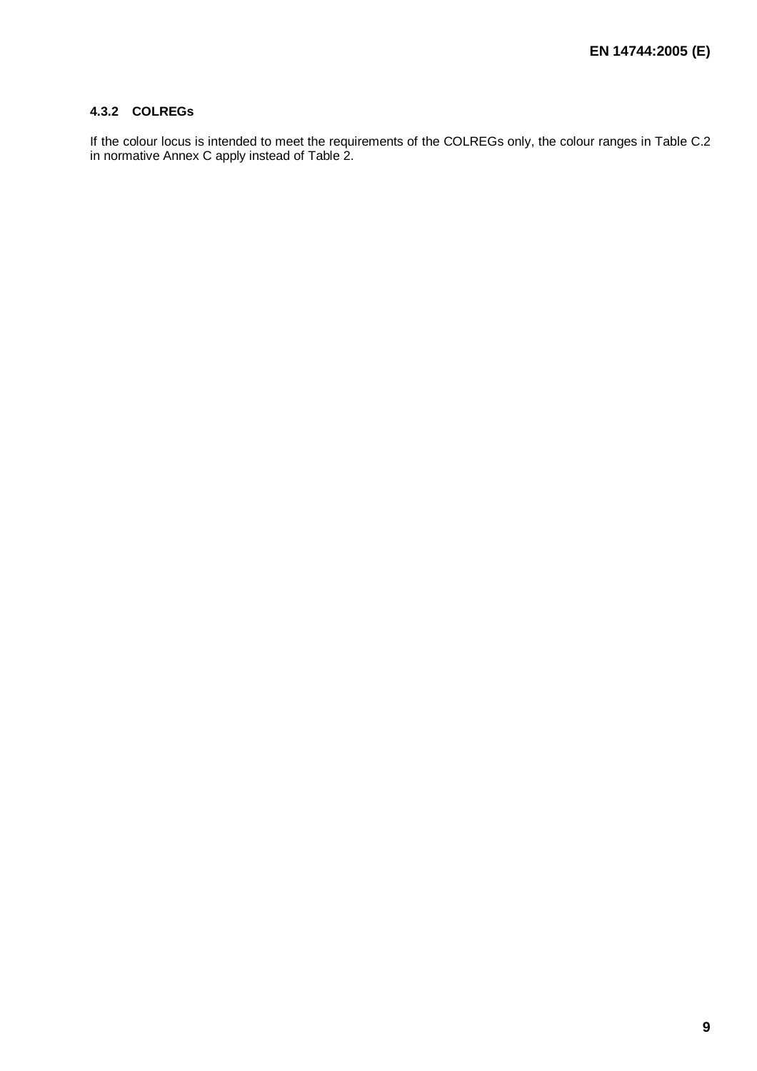#### **4.3.2 COLREGs**

If the colour locus is intended to meet the requirements of the COLREGs only, the colour ranges in Table C.2 in normative Annex C apply instead of Table 2.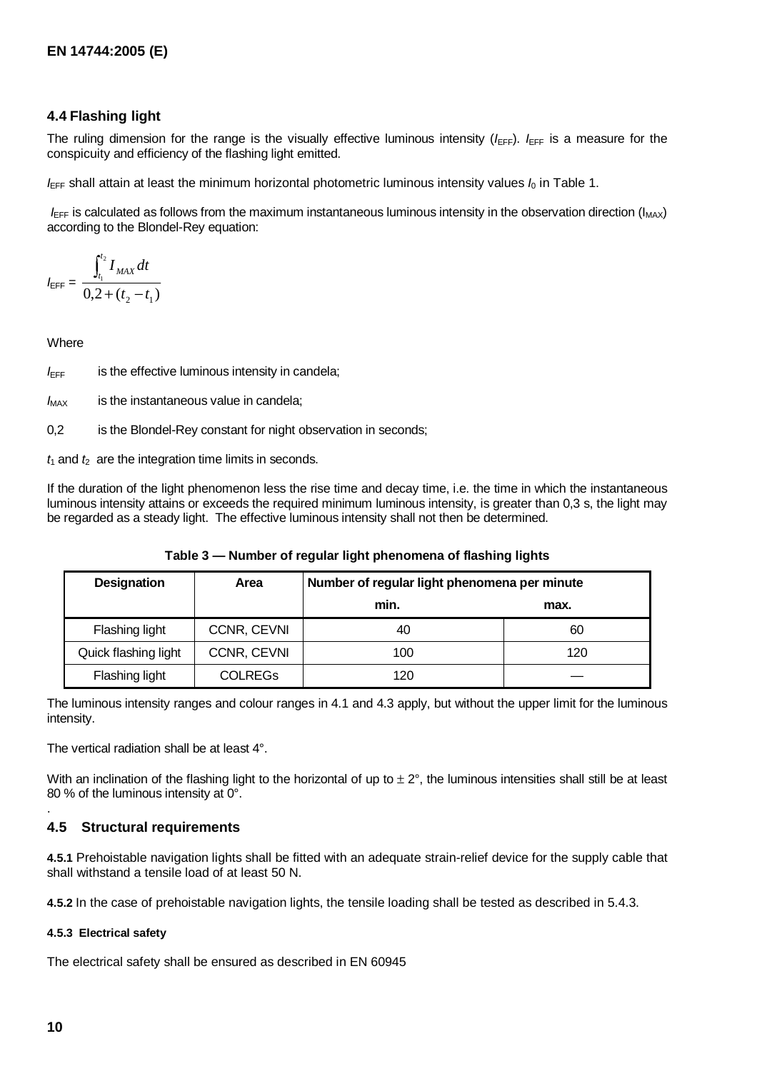#### **4.4 Flashing light**

The ruling dimension for the range is the visually effective luminous intensity  $(I_{\text{EFF}})$ .  $I_{\text{EFF}}$  is a measure for the conspicuity and efficiency of the flashing light emitted.

 $I_{\text{EFF}}$  shall attain at least the minimum horizontal photometric luminous intensity values  $I_0$  in Table 1.

 $I_{\text{EFF}}$  is calculated as follows from the maximum instantaneous luminous intensity in the observation direction ( $I_{\text{MAX}}$ ) according to the Blondel-Rey equation:

$$
I_{\text{EFF}} = \frac{\int_{t_1}^{t_2} I_{MAX} dt}{0, 2 + (t_2 - t_1)}
$$

**Where** 

 $I_{\text{EFF}}$  is the effective luminous intensity in candela;

 $I_{MAX}$  is the instantaneous value in candela;

0,2 is the Blondel-Rey constant for night observation in seconds;

 $t_1$  and  $t_2$  are the integration time limits in seconds.

If the duration of the light phenomenon less the rise time and decay time, i.e. the time in which the instantaneous luminous intensity attains or exceeds the required minimum luminous intensity, is greater than 0,3 s, the light may be regarded as a steady light. The effective luminous intensity shall not then be determined.

| <b>Designation</b>   | Area           | Number of regular light phenomena per minute |      |  |
|----------------------|----------------|----------------------------------------------|------|--|
|                      |                | min.                                         | max. |  |
| Flashing light       | CCNR, CEVNI    | 40                                           | 60   |  |
| Quick flashing light | CCNR, CEVNI    | 100                                          | 120  |  |
| Flashing light       | <b>COLREGS</b> | 120                                          |      |  |

**Table 3 — Number of regular light phenomena of flashing lights** 

The luminous intensity ranges and colour ranges in 4.1 and 4.3 apply, but without the upper limit for the luminous intensity.

The vertical radiation shall be at least 4°.

With an inclination of the flashing light to the horizontal of up to  $\pm 2^{\circ}$ , the luminous intensities shall still be at least 80 % of the luminous intensity at 0°.

#### **4.5 Structural requirements**

**4.5.1** Prehoistable navigation lights shall be fitted with an adequate strain-relief device for the supply cable that shall withstand a tensile load of at least 50 N.

**4.5.2** In the case of prehoistable navigation lights, the tensile loading shall be tested as described in 5.4.3.

#### **4.5.3 Electrical safety**

The electrical safety shall be ensured as described in EN 60945

.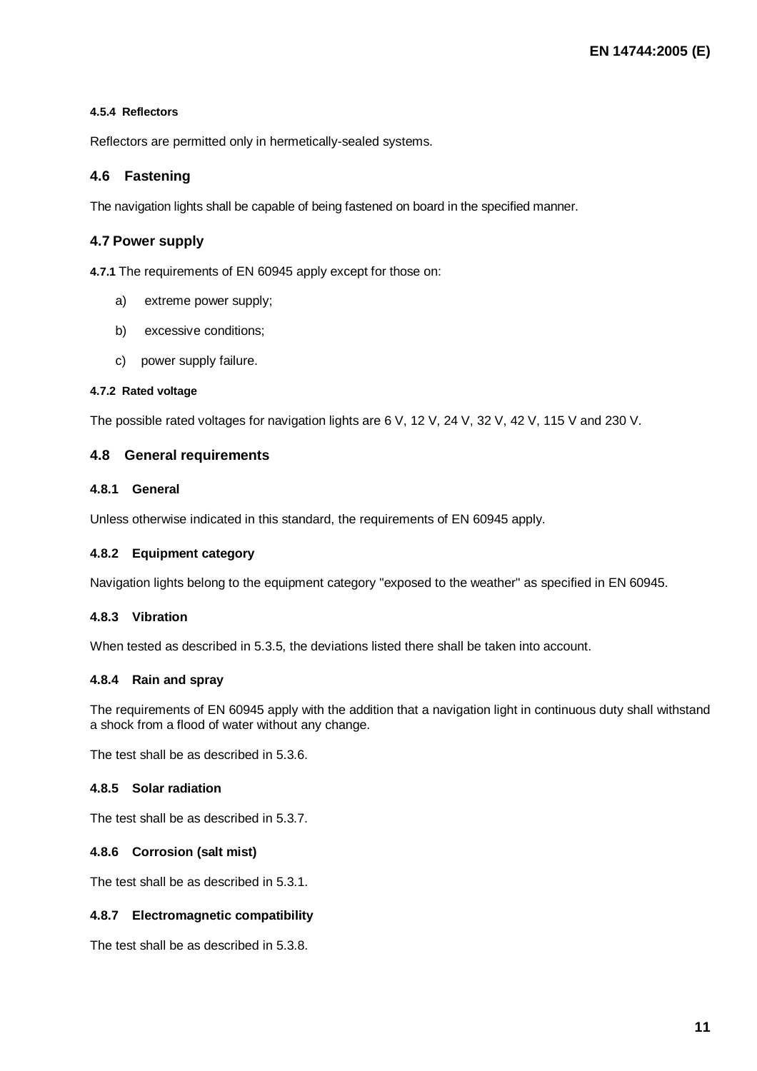#### **4.5.4 Reflectors**

Reflectors are permitted only in hermetically-sealed systems.

#### **4.6 Fastening**

The navigation lights shall be capable of being fastened on board in the specified manner.

#### **4.7 Power supply**

**4.7.1** The requirements of EN 60945 apply except for those on:

- a) extreme power supply;
- b) excessive conditions;
- c) power supply failure.

#### **4.7.2 Rated voltage**

The possible rated voltages for navigation lights are 6 V, 12 V, 24 V, 32 V, 42 V, 115 V and 230 V.

#### **4.8 General requirements**

#### **4.8.1 General**

Unless otherwise indicated in this standard, the requirements of EN 60945 apply.

#### **4.8.2 Equipment category**

Navigation lights belong to the equipment category "exposed to the weather" as specified in EN 60945.

#### **4.8.3 Vibration**

When tested as described in 5.3.5, the deviations listed there shall be taken into account.

#### **4.8.4 Rain and spray**

The requirements of EN 60945 apply with the addition that a navigation light in continuous duty shall withstand a shock from a flood of water without any change.

The test shall be as described in 5.3.6.

#### **4.8.5 Solar radiation**

The test shall be as described in 5.3.7.

#### **4.8.6 Corrosion (salt mist)**

The test shall be as described in 5.3.1.

#### **4.8.7 Electromagnetic compatibility**

The test shall be as described in 5.3.8.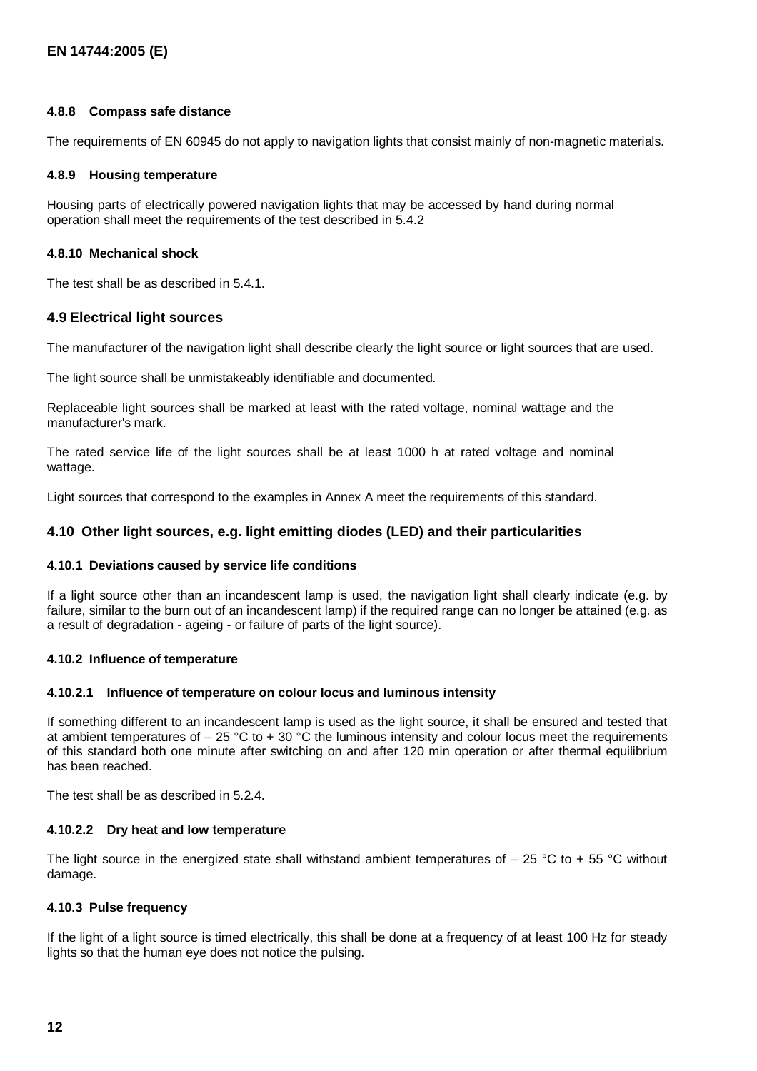#### **4.8.8 Compass safe distance**

The requirements of EN 60945 do not apply to navigation lights that consist mainly of non-magnetic materials.

#### **4.8.9 Housing temperature**

Housing parts of electrically powered navigation lights that may be accessed by hand during normal operation shall meet the requirements of the test described in 5.4.2

#### **4.8.10 Mechanical shock**

The test shall be as described in 5.4.1.

#### **4.9 Electrical light sources**

The manufacturer of the navigation light shall describe clearly the light source or light sources that are used.

The light source shall be unmistakeably identifiable and documented.

Replaceable light sources shall be marked at least with the rated voltage, nominal wattage and the manufacturer's mark.

The rated service life of the light sources shall be at least 1000 h at rated voltage and nominal wattage.

Light sources that correspond to the examples in Annex A meet the requirements of this standard.

#### **4.10 Other light sources, e.g. light emitting diodes (LED) and their particularities**

#### **4.10.1 Deviations caused by service life conditions**

If a light source other than an incandescent lamp is used, the navigation light shall clearly indicate (e.g. by failure, similar to the burn out of an incandescent lamp) if the required range can no longer be attained (e.g. as a result of degradation - ageing - or failure of parts of the light source).

#### **4.10.2 Influence of temperature**

#### **4.10.2.1 Influence of temperature on colour locus and luminous intensity**

If something different to an incandescent lamp is used as the light source, it shall be ensured and tested that at ambient temperatures of  $-25$  °C to + 30 °C the luminous intensity and colour locus meet the requirements of this standard both one minute after switching on and after 120 min operation or after thermal equilibrium has been reached.

The test shall be as described in 5.2.4.

#### **4.10.2.2 Dry heat and low temperature**

The light source in the energized state shall withstand ambient temperatures of  $-$  25 °C to + 55 °C without damage.

#### **4.10.3 Pulse frequency**

If the light of a light source is timed electrically, this shall be done at a frequency of at least 100 Hz for steady lights so that the human eye does not notice the pulsing.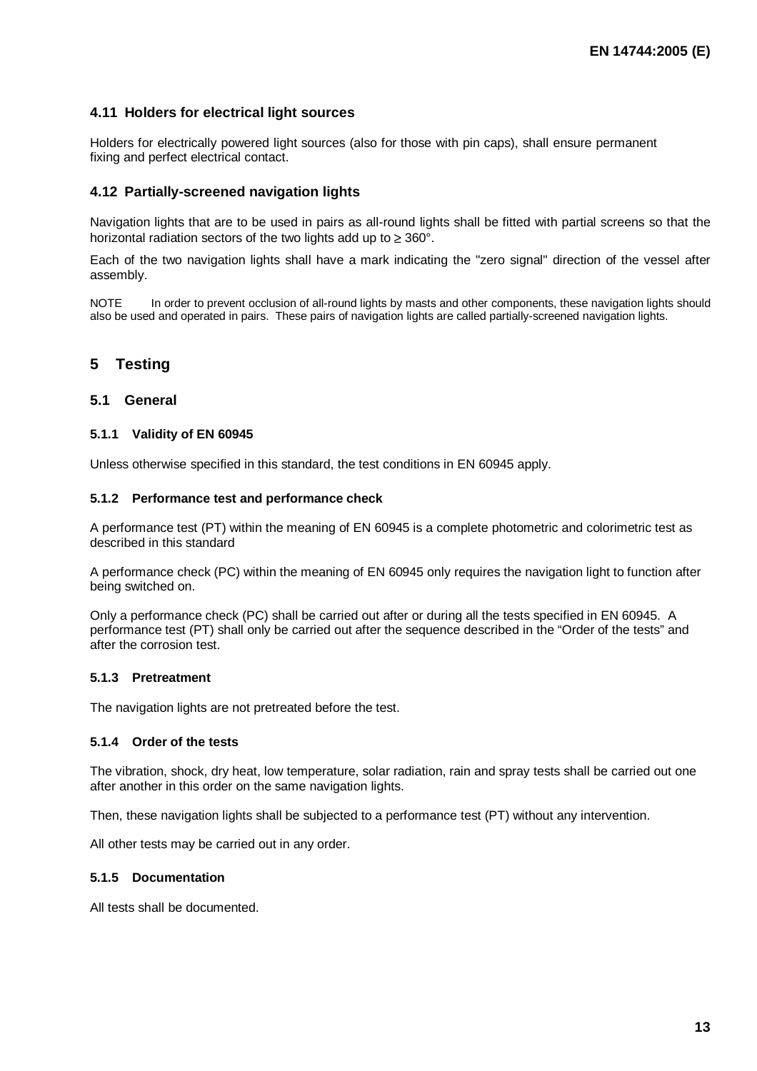#### **4.11 Holders for electrical light sources**

Holders for electrically powered light sources (also for those with pin caps), shall ensure permanent fixing and perfect electrical contact.

#### **4.12 Partially-screened navigation lights**

Navigation lights that are to be used in pairs as all-round lights shall be fitted with partial screens so that the horizontal radiation sectors of the two lights add up to ≥ 360°.

Each of the two navigation lights shall have a mark indicating the "zero signal" direction of the vessel after assembly.

NOTE In order to prevent occlusion of all-round lights by masts and other components, these navigation lights should also be used and operated in pairs. These pairs of navigation lights are called partially-screened navigation lights.

#### **5 Testing**

#### **5.1 General**

#### **5.1.1 Validity of EN 60945**

Unless otherwise specified in this standard, the test conditions in EN 60945 apply.

#### **5.1.2 Performance test and performance check**

A performance test (PT) within the meaning of EN 60945 is a complete photometric and colorimetric test as described in this standard

A performance check (PC) within the meaning of EN 60945 only requires the navigation light to function after being switched on.

Only a performance check (PC) shall be carried out after or during all the tests specified in EN 60945. A performance test (PT) shall only be carried out after the sequence described in the "Order of the tests" and after the corrosion test.

#### **5.1.3 Pretreatment**

The navigation lights are not pretreated before the test.

#### **5.1.4 Order of the tests**

The vibration, shock, dry heat, low temperature, solar radiation, rain and spray tests shall be carried out one after another in this order on the same navigation lights.

Then, these navigation lights shall be subjected to a performance test (PT) without any intervention.

All other tests may be carried out in any order.

#### **5.1.5 Documentation**

All tests shall be documented.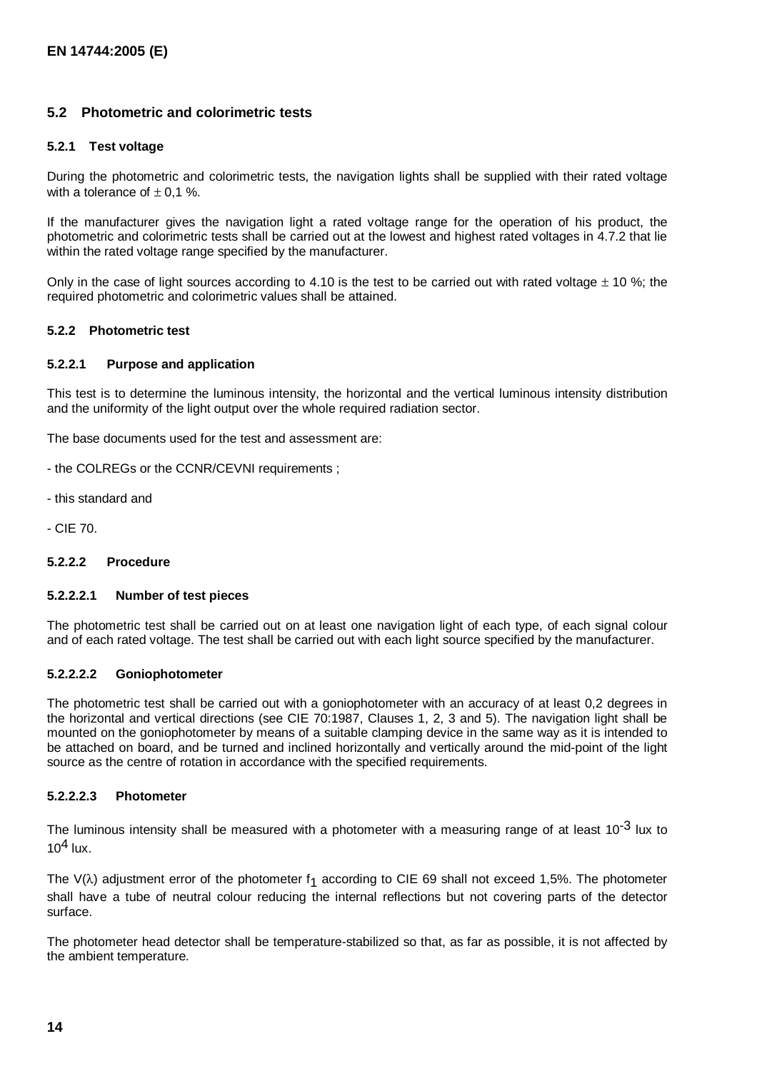#### **5.2 Photometric and colorimetric tests**

#### **5.2.1 Test voltage**

During the photometric and colorimetric tests, the navigation lights shall be supplied with their rated voltage with a tolerance of  $\pm$  0.1 %.

If the manufacturer gives the navigation light a rated voltage range for the operation of his product, the photometric and colorimetric tests shall be carried out at the lowest and highest rated voltages in 4.7.2 that lie within the rated voltage range specified by the manufacturer.

Only in the case of light sources according to 4.10 is the test to be carried out with rated voltage  $\pm$  10 %; the required photometric and colorimetric values shall be attained.

#### **5.2.2 Photometric test**

#### **5.2.2.1 Purpose and application**

This test is to determine the luminous intensity, the horizontal and the vertical luminous intensity distribution and the uniformity of the light output over the whole required radiation sector.

The base documents used for the test and assessment are:

- the COLREGs or the CCNR/CEVNI requirements ;
- this standard and
- CIE 70.

#### **5.2.2.2 Procedure**

#### **5.2.2.2.1 Number of test pieces**

The photometric test shall be carried out on at least one navigation light of each type, of each signal colour and of each rated voltage. The test shall be carried out with each light source specified by the manufacturer.

#### **5.2.2.2.2 Goniophotometer**

The photometric test shall be carried out with a goniophotometer with an accuracy of at least 0,2 degrees in the horizontal and vertical directions (see CIE 70:1987, Clauses 1, 2, 3 and 5). The navigation light shall be mounted on the goniophotometer by means of a suitable clamping device in the same way as it is intended to be attached on board, and be turned and inclined horizontally and vertically around the mid-point of the light source as the centre of rotation in accordance with the specified requirements.

#### **5.2.2.2.3 Photometer**

The luminous intensity shall be measured with a photometer with a measuring range of at least  $10^{-3}$  lux to  $10<sup>4</sup>$  lux.

The V( $\lambda$ ) adjustment error of the photometer f<sub>1</sub> according to CIE 69 shall not exceed 1,5%. The photometer shall have a tube of neutral colour reducing the internal reflections but not covering parts of the detector surface.

The photometer head detector shall be temperature-stabilized so that, as far as possible, it is not affected by the ambient temperature.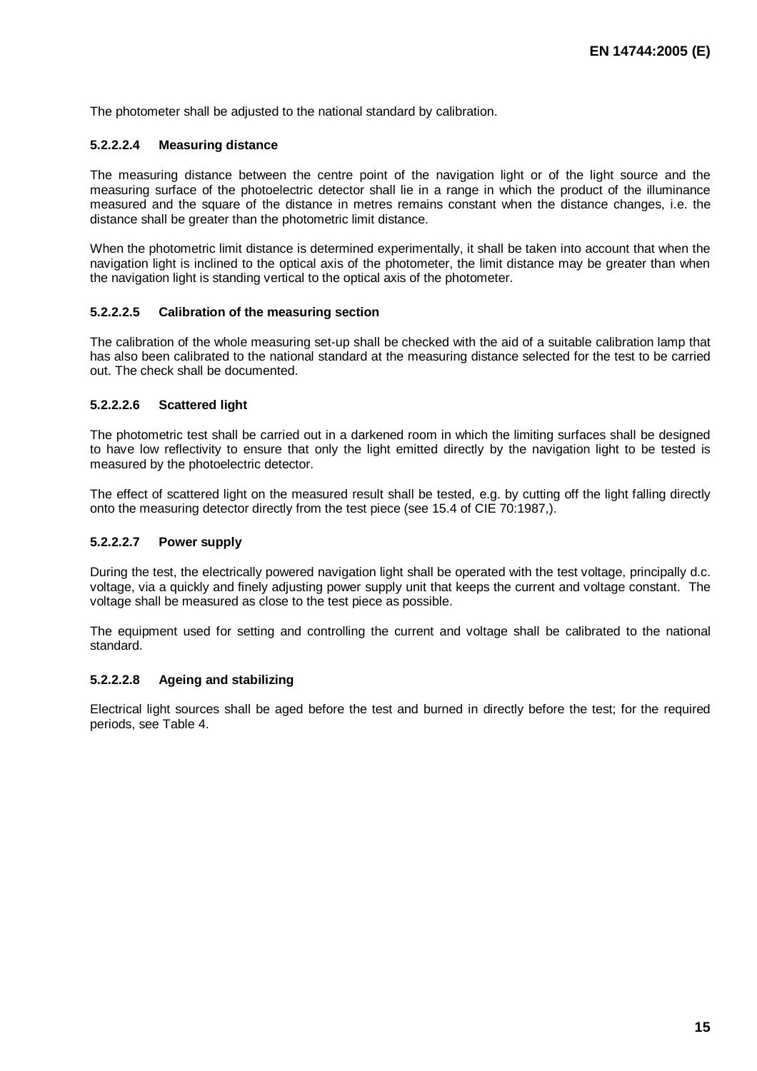The photometer shall be adjusted to the national standard by calibration.

#### **5.2.2.2.4 Measuring distance**

The measuring distance between the centre point of the navigation light or of the light source and the measuring surface of the photoelectric detector shall lie in a range in which the product of the illuminance measured and the square of the distance in metres remains constant when the distance changes, i.e. the distance shall be greater than the photometric limit distance.

When the photometric limit distance is determined experimentally, it shall be taken into account that when the navigation light is inclined to the optical axis of the photometer, the limit distance may be greater than when the navigation light is standing vertical to the optical axis of the photometer.

#### **5.2.2.2.5 Calibration of the measuring section**

The calibration of the whole measuring set-up shall be checked with the aid of a suitable calibration lamp that has also been calibrated to the national standard at the measuring distance selected for the test to be carried out. The check shall be documented.

#### **5.2.2.2.6 Scattered light**

The photometric test shall be carried out in a darkened room in which the limiting surfaces shall be designed to have low reflectivity to ensure that only the light emitted directly by the navigation light to be tested is measured by the photoelectric detector.

The effect of scattered light on the measured result shall be tested, e.g. by cutting off the light falling directly onto the measuring detector directly from the test piece (see 15.4 of CIE 70:1987,).

#### **5.2.2.2.7 Power supply**

During the test, the electrically powered navigation light shall be operated with the test voltage, principally d.c. voltage, via a quickly and finely adjusting power supply unit that keeps the current and voltage constant. The voltage shall be measured as close to the test piece as possible.

The equipment used for setting and controlling the current and voltage shall be calibrated to the national standard.

#### **5.2.2.2.8 Ageing and stabilizing**

Electrical light sources shall be aged before the test and burned in directly before the test; for the required periods, see Table 4.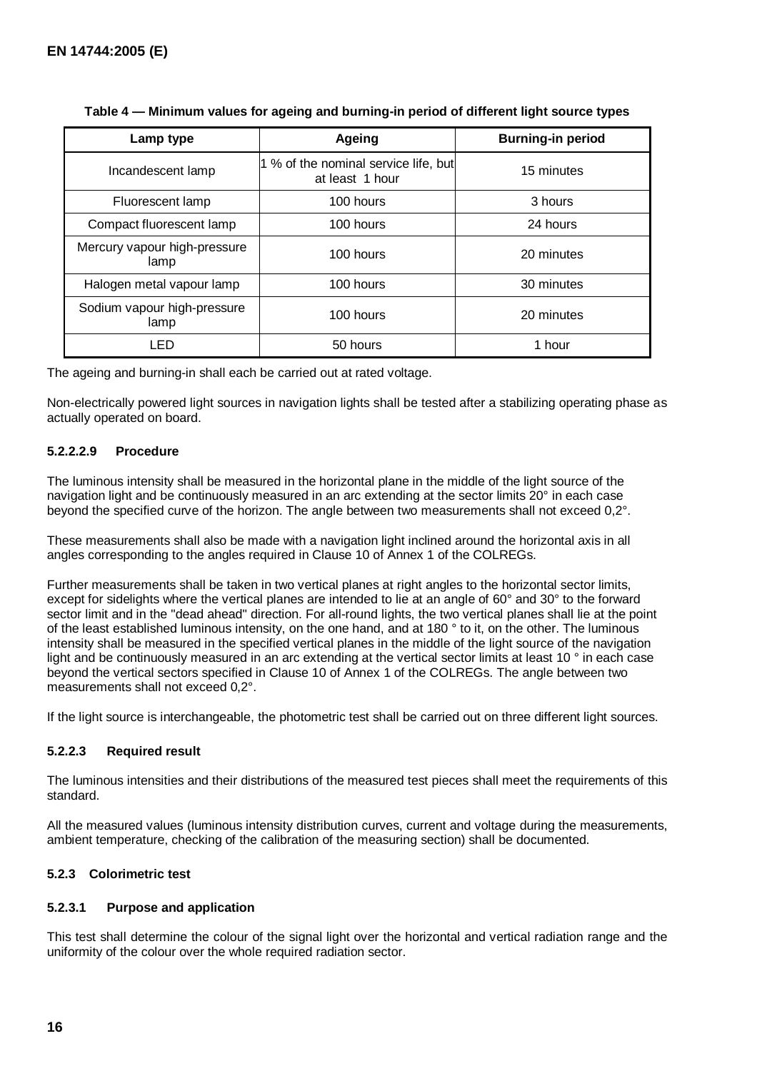| Lamp type                            | Ageing                                                  | <b>Burning-in period</b> |
|--------------------------------------|---------------------------------------------------------|--------------------------|
| Incandescent lamp                    | 1 % of the nominal service life, but<br>at least 1 hour | 15 minutes               |
| Fluorescent lamp                     | 100 hours                                               | 3 hours                  |
| Compact fluorescent lamp             | 100 hours                                               | 24 hours                 |
| Mercury vapour high-pressure<br>lamp | 100 hours                                               | 20 minutes               |
| Halogen metal vapour lamp            | 100 hours                                               | 30 minutes               |
| Sodium vapour high-pressure<br>lamp  | 100 hours                                               | 20 minutes               |
| LED                                  | 50 hours                                                | 1 hour                   |

|  |  | Table 4 — Minimum values for ageing and burning-in period of different light source types |
|--|--|-------------------------------------------------------------------------------------------|
|--|--|-------------------------------------------------------------------------------------------|

The ageing and burning-in shall each be carried out at rated voltage.

Non-electrically powered light sources in navigation lights shall be tested after a stabilizing operating phase as actually operated on board.

#### **5.2.2.2.9 Procedure**

The luminous intensity shall be measured in the horizontal plane in the middle of the light source of the navigation light and be continuously measured in an arc extending at the sector limits 20° in each case beyond the specified curve of the horizon. The angle between two measurements shall not exceed 0,2°.

These measurements shall also be made with a navigation light inclined around the horizontal axis in all angles corresponding to the angles required in Clause 10 of Annex 1 of the COLREGs.

Further measurements shall be taken in two vertical planes at right angles to the horizontal sector limits, except for sidelights where the vertical planes are intended to lie at an angle of 60° and 30° to the forward sector limit and in the "dead ahead" direction. For all-round lights, the two vertical planes shall lie at the point of the least established luminous intensity, on the one hand, and at 180 ° to it, on the other. The luminous intensity shall be measured in the specified vertical planes in the middle of the light source of the navigation light and be continuously measured in an arc extending at the vertical sector limits at least 10 ° in each case beyond the vertical sectors specified in Clause 10 of Annex 1 of the COLREGs. The angle between two measurements shall not exceed 0,2°.

If the light source is interchangeable, the photometric test shall be carried out on three different light sources.

#### **5.2.2.3 Required result**

The luminous intensities and their distributions of the measured test pieces shall meet the requirements of this standard.

All the measured values (luminous intensity distribution curves, current and voltage during the measurements, ambient temperature, checking of the calibration of the measuring section) shall be documented.

#### **5.2.3 Colorimetric test**

#### **5.2.3.1 Purpose and application**

This test shall determine the colour of the signal light over the horizontal and vertical radiation range and the uniformity of the colour over the whole required radiation sector.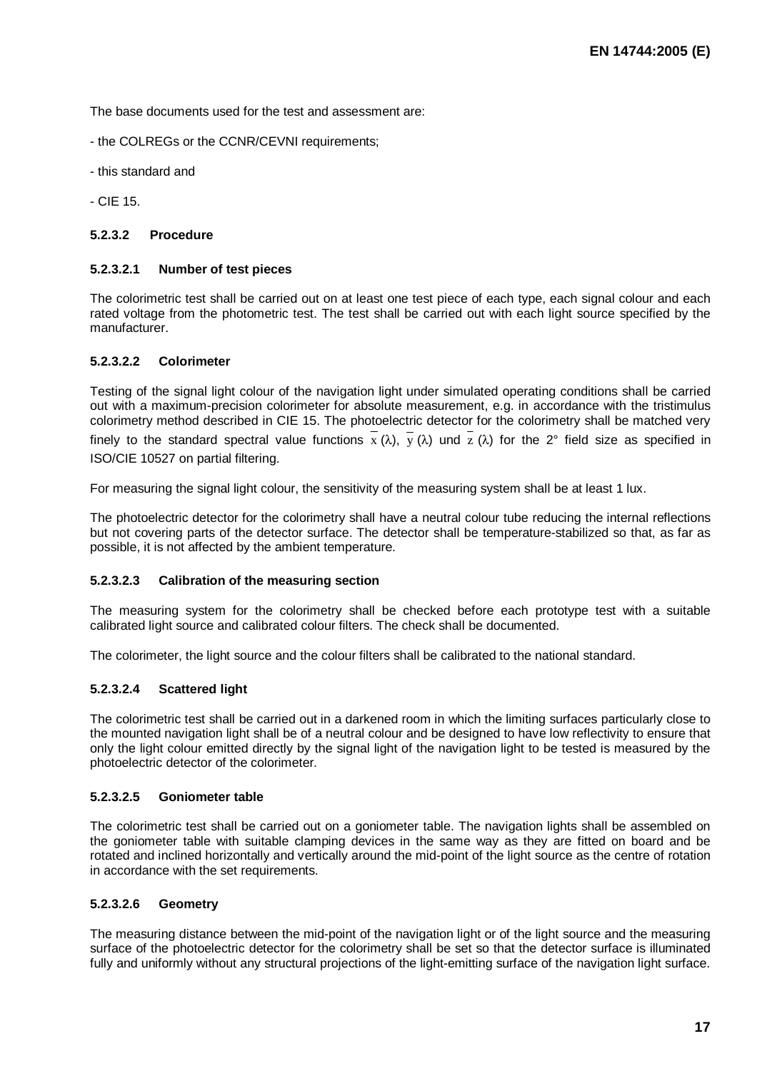The base documents used for the test and assessment are:

- the COLREGs or the CCNR/CEVNI requirements;
- this standard and
- CIE 15.

#### **5.2.3.2 Procedure**

#### **5.2.3.2.1 Number of test pieces**

The colorimetric test shall be carried out on at least one test piece of each type, each signal colour and each rated voltage from the photometric test. The test shall be carried out with each light source specified by the manufacturer.

#### **5.2.3.2.2 Colorimeter**

Testing of the signal light colour of the navigation light under simulated operating conditions shall be carried out with a maximum-precision colorimeter for absolute measurement, e.g. in accordance with the tristimulus colorimetry method described in CIE 15. The photoelectric detector for the colorimetry shall be matched very finely to the standard spectral value functions  $\bar{x}$  ( $\lambda$ ),  $\bar{y}$  ( $\lambda$ ) und  $\bar{z}$  ( $\lambda$ ) for the 2° field size as specified in ISO/CIE 10527 on partial filtering.

For measuring the signal light colour, the sensitivity of the measuring system shall be at least 1 lux.

The photoelectric detector for the colorimetry shall have a neutral colour tube reducing the internal reflections but not covering parts of the detector surface. The detector shall be temperature-stabilized so that, as far as possible, it is not affected by the ambient temperature.

#### **5.2.3.2.3 Calibration of the measuring section**

The measuring system for the colorimetry shall be checked before each prototype test with a suitable calibrated light source and calibrated colour filters. The check shall be documented.

The colorimeter, the light source and the colour filters shall be calibrated to the national standard.

#### **5.2.3.2.4 Scattered light**

The colorimetric test shall be carried out in a darkened room in which the limiting surfaces particularly close to the mounted navigation light shall be of a neutral colour and be designed to have low reflectivity to ensure that only the light colour emitted directly by the signal light of the navigation light to be tested is measured by the photoelectric detector of the colorimeter.

#### **5.2.3.2.5 Goniometer table**

The colorimetric test shall be carried out on a goniometer table. The navigation lights shall be assembled on the goniometer table with suitable clamping devices in the same way as they are fitted on board and be rotated and inclined horizontally and vertically around the mid-point of the light source as the centre of rotation in accordance with the set requirements.

#### **5.2.3.2.6 Geometry**

The measuring distance between the mid-point of the navigation light or of the light source and the measuring surface of the photoelectric detector for the colorimetry shall be set so that the detector surface is illuminated fully and uniformly without any structural projections of the light-emitting surface of the navigation light surface.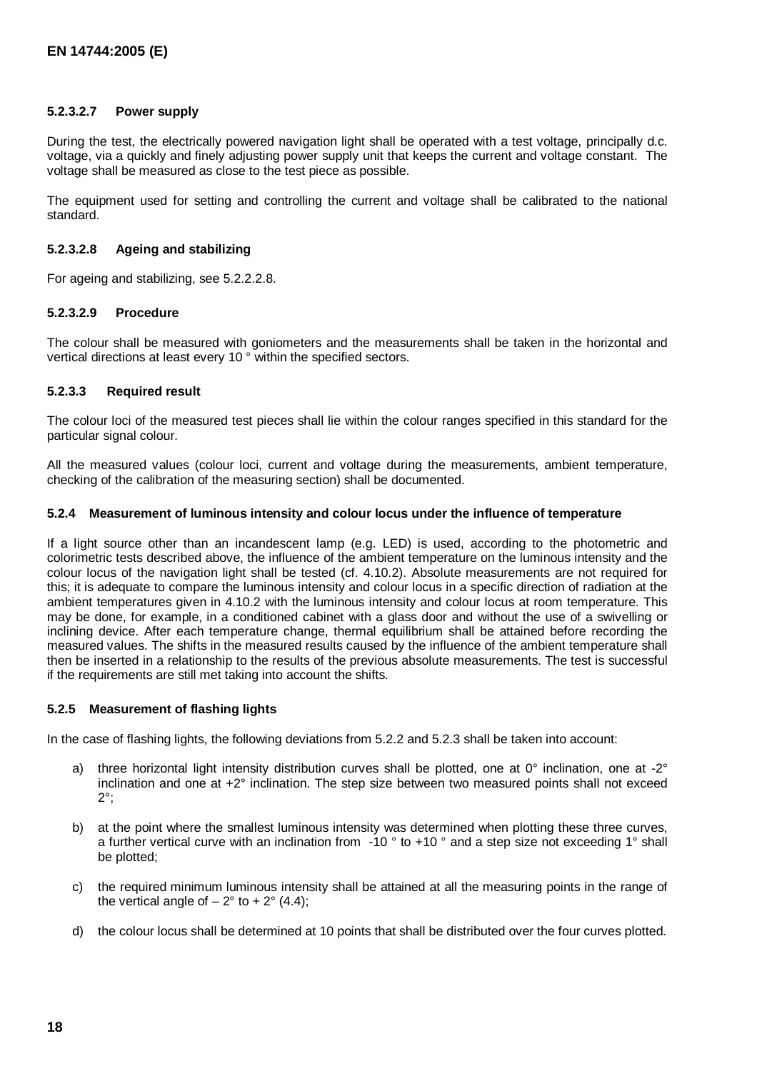#### **5.2.3.2.7 Power supply**

During the test, the electrically powered navigation light shall be operated with a test voltage, principally d.c. voltage, via a quickly and finely adjusting power supply unit that keeps the current and voltage constant. The voltage shall be measured as close to the test piece as possible.

The equipment used for setting and controlling the current and voltage shall be calibrated to the national standard.

#### **5.2.3.2.8 Ageing and stabilizing**

For ageing and stabilizing, see 5.2.2.2.8.

#### **5.2.3.2.9 Procedure**

The colour shall be measured with goniometers and the measurements shall be taken in the horizontal and vertical directions at least every 10 ° within the specified sectors.

#### **5.2.3.3 Required result**

The colour loci of the measured test pieces shall lie within the colour ranges specified in this standard for the particular signal colour.

All the measured values (colour loci, current and voltage during the measurements, ambient temperature, checking of the calibration of the measuring section) shall be documented.

#### **5.2.4 Measurement of luminous intensity and colour locus under the influence of temperature**

If a light source other than an incandescent lamp (e.g. LED) is used, according to the photometric and colorimetric tests described above, the influence of the ambient temperature on the luminous intensity and the colour locus of the navigation light shall be tested (cf. 4.10.2). Absolute measurements are not required for this; it is adequate to compare the luminous intensity and colour locus in a specific direction of radiation at the ambient temperatures given in 4.10.2 with the luminous intensity and colour locus at room temperature. This may be done, for example, in a conditioned cabinet with a glass door and without the use of a swivelling or inclining device. After each temperature change, thermal equilibrium shall be attained before recording the measured values. The shifts in the measured results caused by the influence of the ambient temperature shall then be inserted in a relationship to the results of the previous absolute measurements. The test is successful if the requirements are still met taking into account the shifts.

#### **5.2.5 Measurement of flashing lights**

In the case of flashing lights, the following deviations from 5.2.2 and 5.2.3 shall be taken into account:

- a) three horizontal light intensity distribution curves shall be plotted, one at 0° inclination, one at -2° inclination and one at +2° inclination. The step size between two measured points shall not exceed 2°;
- b) at the point where the smallest luminous intensity was determined when plotting these three curves, a further vertical curve with an inclination from -10 ° to +10 ° and a step size not exceeding 1° shall be plotted;
- c) the required minimum luminous intensity shall be attained at all the measuring points in the range of the vertical angle of  $-2^{\circ}$  to  $+2^{\circ}$  (4.4);
- d) the colour locus shall be determined at 10 points that shall be distributed over the four curves plotted.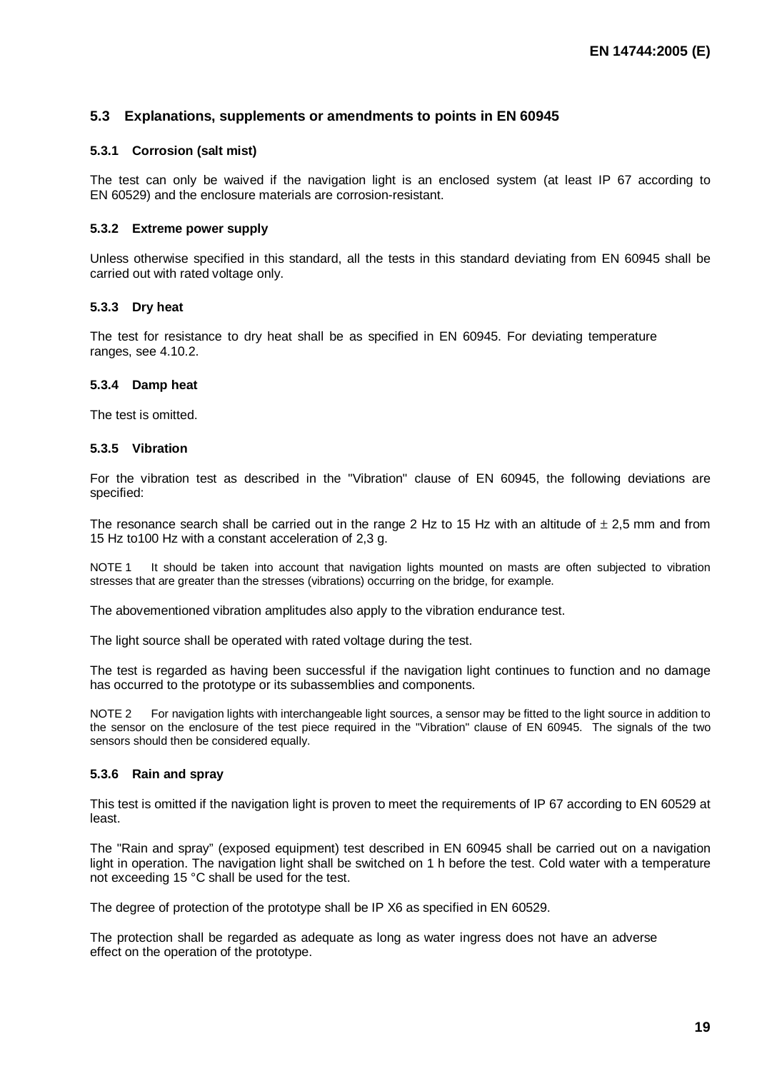#### **5.3 Explanations, supplements or amendments to points in EN 60945**

#### **5.3.1 Corrosion (salt mist)**

The test can only be waived if the navigation light is an enclosed system (at least IP 67 according to EN 60529) and the enclosure materials are corrosion-resistant.

#### **5.3.2 Extreme power supply**

Unless otherwise specified in this standard, all the tests in this standard deviating from EN 60945 shall be carried out with rated voltage only.

#### **5.3.3 Dry heat**

The test for resistance to dry heat shall be as specified in EN 60945. For deviating temperature ranges, see 4.10.2.

#### **5.3.4 Damp heat**

The test is omitted.

#### **5.3.5 Vibration**

For the vibration test as described in the "Vibration" clause of EN 60945, the following deviations are specified:

The resonance search shall be carried out in the range 2 Hz to 15 Hz with an altitude of  $\pm$  2,5 mm and from 15 Hz to100 Hz with a constant acceleration of 2,3 g.

NOTE 1 It should be taken into account that navigation lights mounted on masts are often subjected to vibration stresses that are greater than the stresses (vibrations) occurring on the bridge, for example.

The abovementioned vibration amplitudes also apply to the vibration endurance test.

The light source shall be operated with rated voltage during the test.

The test is regarded as having been successful if the navigation light continues to function and no damage has occurred to the prototype or its subassemblies and components.

NOTE 2 For navigation lights with interchangeable light sources, a sensor may be fitted to the light source in addition to the sensor on the enclosure of the test piece required in the "Vibration" clause of EN 60945. The signals of the two sensors should then be considered equally.

#### **5.3.6 Rain and spray**

This test is omitted if the navigation light is proven to meet the requirements of IP 67 according to EN 60529 at least.

The "Rain and spray" (exposed equipment) test described in EN 60945 shall be carried out on a navigation light in operation. The navigation light shall be switched on 1 h before the test. Cold water with a temperature not exceeding 15 °C shall be used for the test.

The degree of protection of the prototype shall be IP X6 as specified in EN 60529.

The protection shall be regarded as adequate as long as water ingress does not have an adverse effect on the operation of the prototype.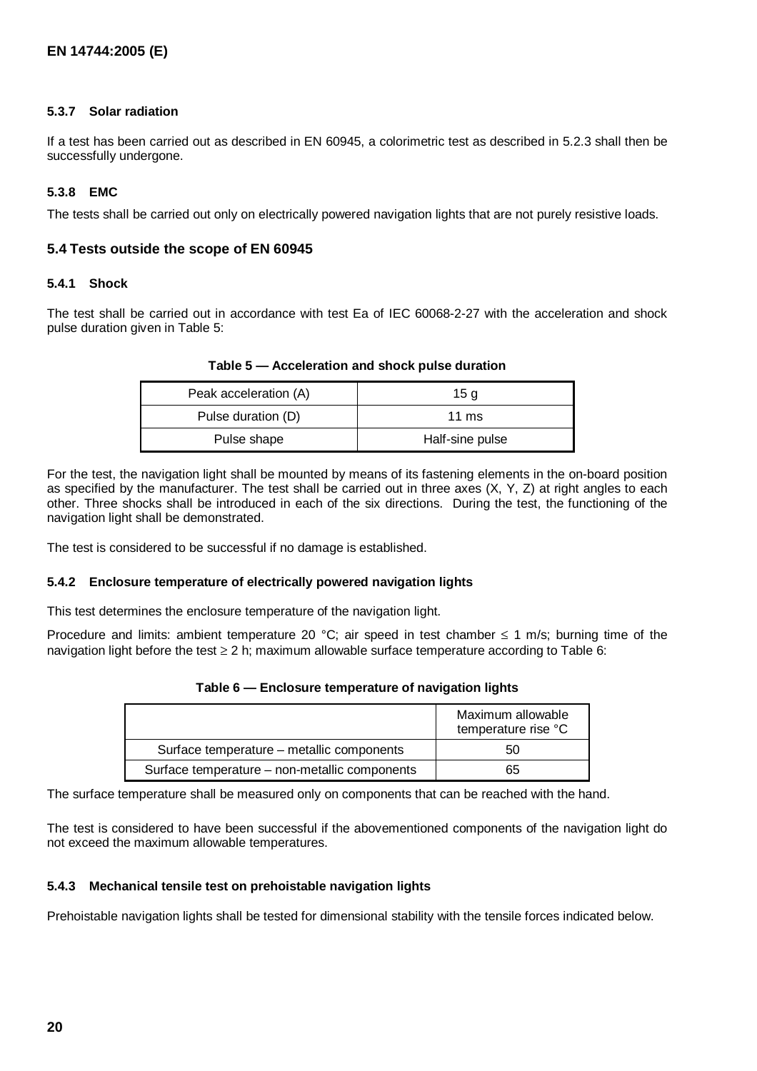#### **5.3.7 Solar radiation**

If a test has been carried out as described in EN 60945, a colorimetric test as described in 5.2.3 shall then be successfully undergone.

#### **5.3.8 EMC**

The tests shall be carried out only on electrically powered navigation lights that are not purely resistive loads.

#### **5.4 Tests outside the scope of EN 60945**

#### **5.4.1 Shock**

The test shall be carried out in accordance with test Ea of IEC 60068-2-27 with the acceleration and shock pulse duration given in Table 5:

| Peak acceleration (A) | 15 a            |
|-----------------------|-----------------|
| Pulse duration (D)    | 11 $ms$         |
| Pulse shape           | Half-sine pulse |

#### **Table 5 — Acceleration and shock pulse duration**

For the test, the navigation light shall be mounted by means of its fastening elements in the on-board position as specified by the manufacturer. The test shall be carried out in three axes  $(X, Y, Z)$  at right angles to each other. Three shocks shall be introduced in each of the six directions. During the test, the functioning of the navigation light shall be demonstrated.

The test is considered to be successful if no damage is established.

#### **5.4.2 Enclosure temperature of electrically powered navigation lights**

This test determines the enclosure temperature of the navigation light.

Procedure and limits: ambient temperature 20 °C; air speed in test chamber  $\leq 1$  m/s; burning time of the navigation light before the test ≥ 2 h; maximum allowable surface temperature according to Table 6:

|                                               | Maximum allowable<br>temperature rise °C |
|-----------------------------------------------|------------------------------------------|
| Surface temperature – metallic components     | 50                                       |
| Surface temperature – non-metallic components | 65                                       |

The surface temperature shall be measured only on components that can be reached with the hand.

The test is considered to have been successful if the abovementioned components of the navigation light do not exceed the maximum allowable temperatures.

#### **5.4.3 Mechanical tensile test on prehoistable navigation lights**

Prehoistable navigation lights shall be tested for dimensional stability with the tensile forces indicated below.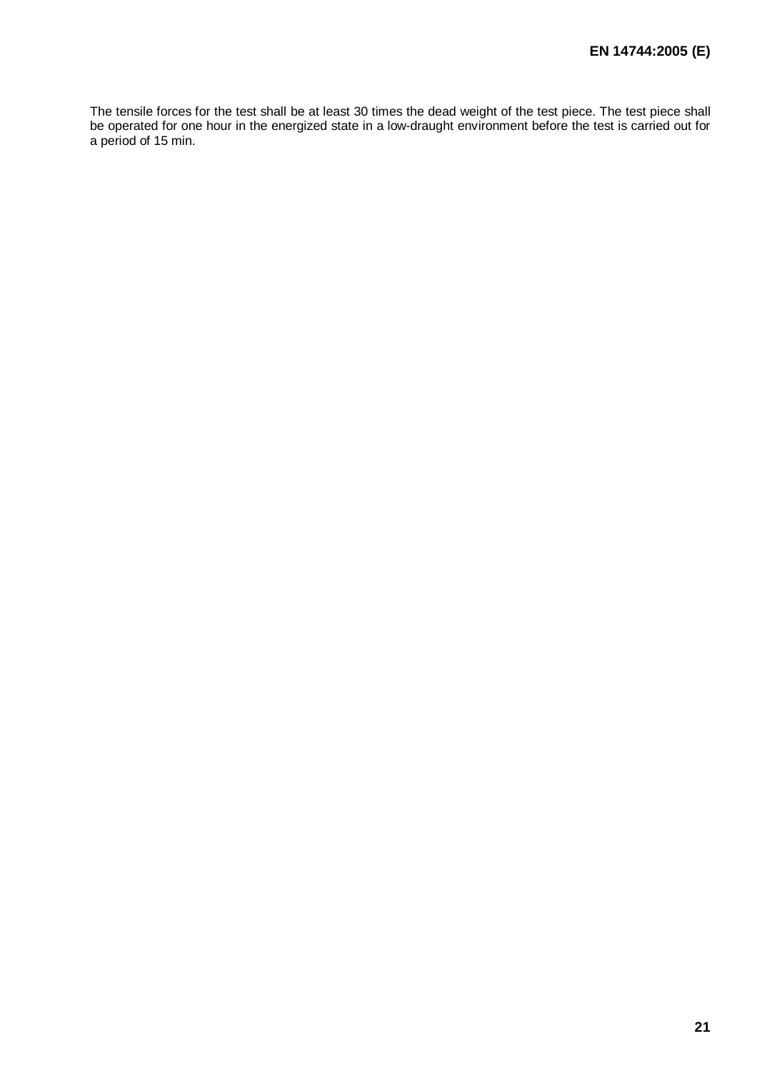The tensile forces for the test shall be at least 30 times the dead weight of the test piece. The test piece shall be operated for one hour in the energized state in a low-draught environment before the test is carried out for a period of 15 min.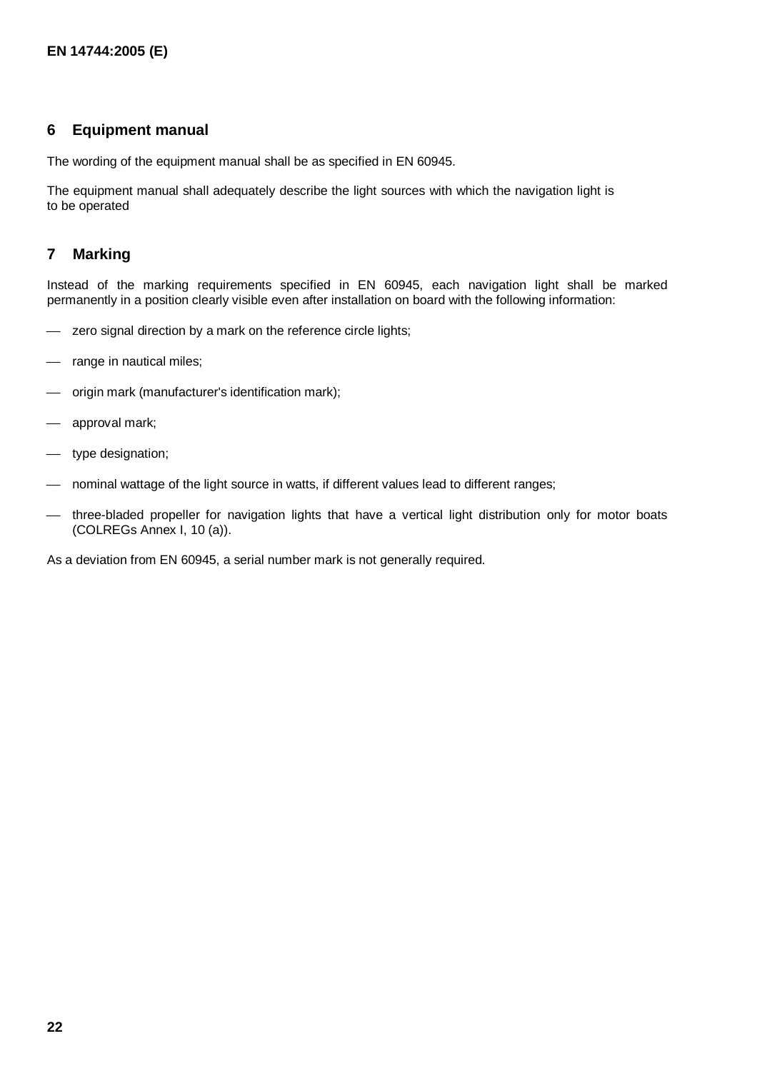#### **6 Equipment manual**

The wording of the equipment manual shall be as specified in EN 60945.

The equipment manual shall adequately describe the light sources with which the navigation light is to be operated

#### **7 Marking**

Instead of the marking requirements specified in EN 60945, each navigation light shall be marked permanently in a position clearly visible even after installation on board with the following information:

- zero signal direction by a mark on the reference circle lights;
- range in nautical miles;
- origin mark (manufacturer's identification mark);
- approval mark;
- type designation;
- nominal wattage of the light source in watts, if different values lead to different ranges;
- three-bladed propeller for navigation lights that have a vertical light distribution only for motor boats (COLREGs Annex I, 10 (a)).

As a deviation from EN 60945, a serial number mark is not generally required.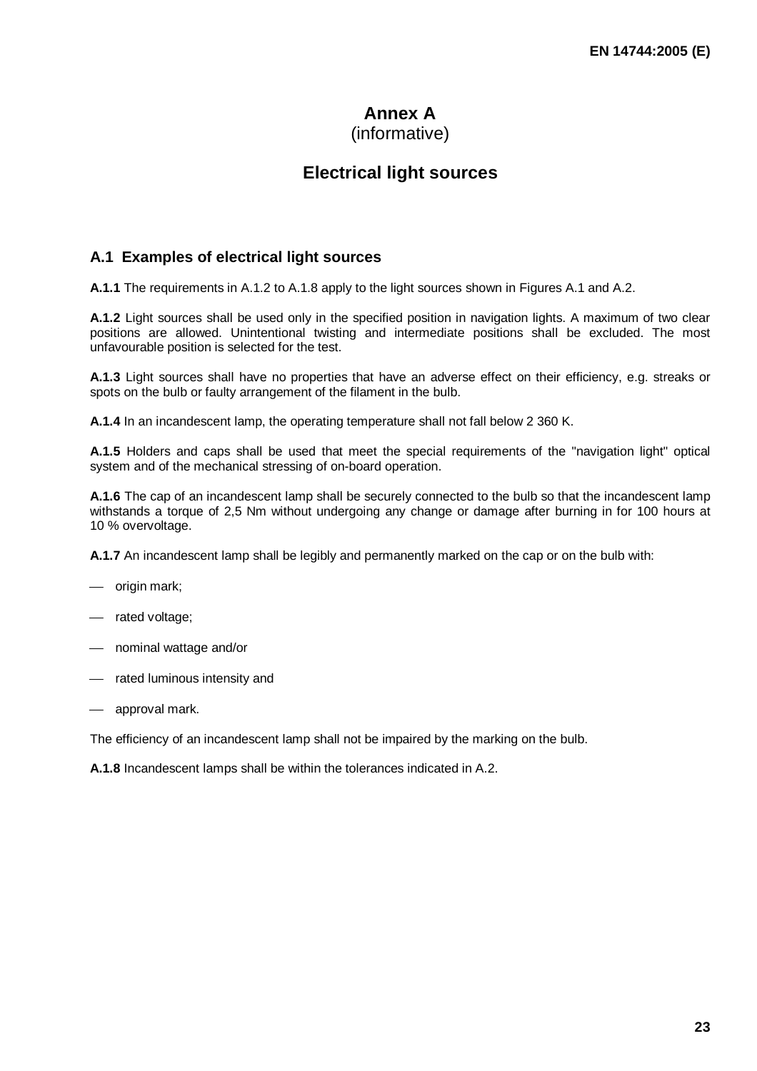# **Annex A**

### (informative)

# **Electrical light sources**

#### **A.1 Examples of electrical light sources**

**A.1.1** The requirements in A.1.2 to A.1.8 apply to the light sources shown in Figures A.1 and A.2.

**A.1.2** Light sources shall be used only in the specified position in navigation lights. A maximum of two clear positions are allowed. Unintentional twisting and intermediate positions shall be excluded. The most unfavourable position is selected for the test.

**A.1.3** Light sources shall have no properties that have an adverse effect on their efficiency, e.g. streaks or spots on the bulb or faulty arrangement of the filament in the bulb.

**A.1.4** In an incandescent lamp, the operating temperature shall not fall below 2 360 K.

**A.1.5** Holders and caps shall be used that meet the special requirements of the "navigation light" optical system and of the mechanical stressing of on-board operation.

**A.1.6** The cap of an incandescent lamp shall be securely connected to the bulb so that the incandescent lamp withstands a torque of 2,5 Nm without undergoing any change or damage after burning in for 100 hours at 10 % overvoltage.

**A.1.7** An incandescent lamp shall be legibly and permanently marked on the cap or on the bulb with:

- origin mark;
- rated voltage;
- nominal wattage and/or
- rated luminous intensity and
- approval mark.

The efficiency of an incandescent lamp shall not be impaired by the marking on the bulb.

**A.1.8** Incandescent lamps shall be within the tolerances indicated in A.2.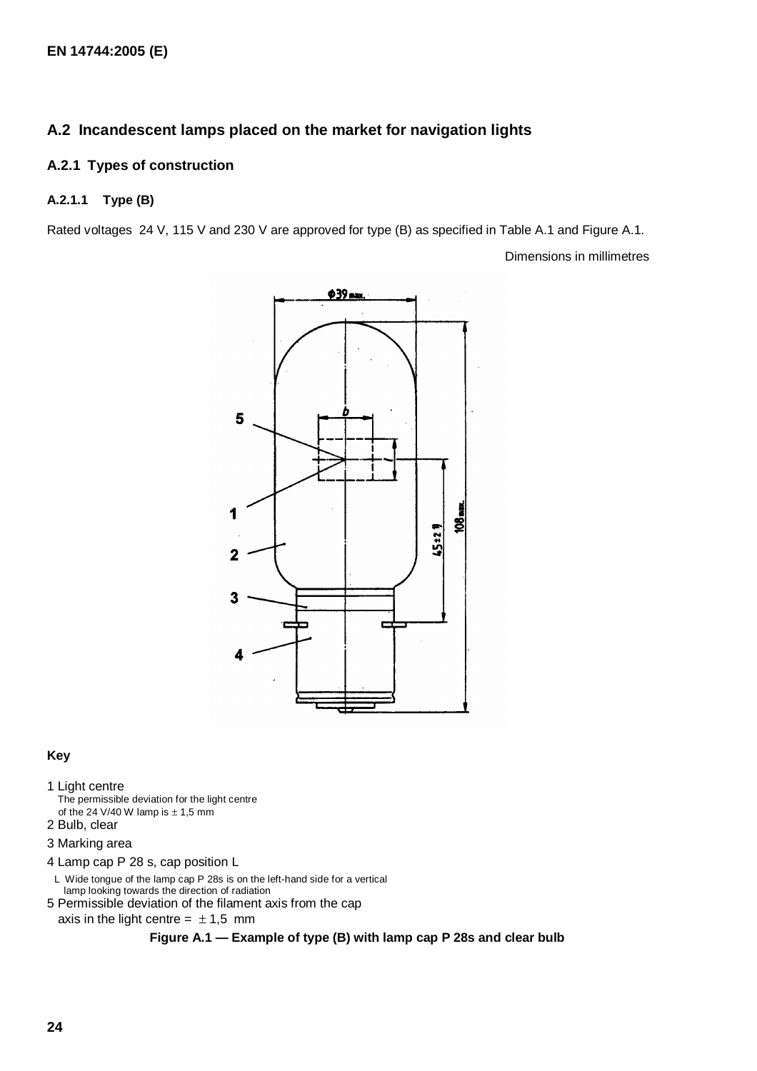#### **A.2 Incandescent lamps placed on the market for navigation lights**

#### **A.2.1 Types of construction**

#### **A.2.1.1 Type (B)**

Rated voltages 24 V, 115 V and 230 V are approved for type (B) as specified in Table A.1 and Figure A.1.

Dimensions in millimetres



#### **Key**

#### 1 Light centre

- The permissible deviation for the light centre of the 24 V/40 W lamp is  $\pm$  1,5 mm
- 2 Bulb, clear

#### 3 Marking area

- 4 Lamp cap P 28 s, cap position L
- L Wide tongue of the lamp cap P 28s is on the left-hand side for a vertical lamp looking towards the direction of radiation 5 Permissible deviation of the filament axis from the cap
- axis in the light centre =  $\pm 1.5$  mm

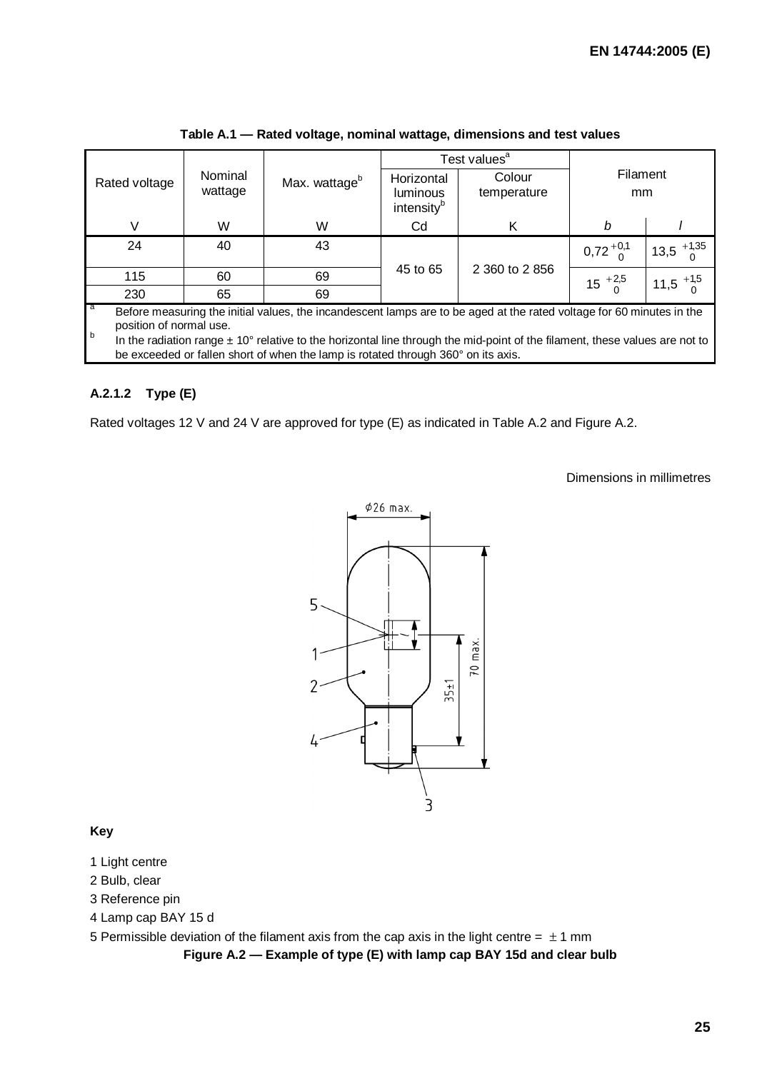|                                                                                                                                                                                                                                                                                                                                                                                          |                    |                           |                                                  | Test values <sup>a</sup> |                    |                       |  |  |
|------------------------------------------------------------------------------------------------------------------------------------------------------------------------------------------------------------------------------------------------------------------------------------------------------------------------------------------------------------------------------------------|--------------------|---------------------------|--------------------------------------------------|--------------------------|--------------------|-----------------------|--|--|
| Rated voltage                                                                                                                                                                                                                                                                                                                                                                            | Nominal<br>wattage | Max. wattage <sup>b</sup> | Horizontal<br>luminous<br>intensity <sup>b</sup> | Colour<br>temperature    | Filament<br>mm     |                       |  |  |
| V                                                                                                                                                                                                                                                                                                                                                                                        | W                  | W                         | Cd                                               | K                        | b                  |                       |  |  |
| 24                                                                                                                                                                                                                                                                                                                                                                                       | 40                 | 43                        |                                                  |                          | $0,72^{+0,1}_{-0}$ | $13,5$ $^{+1,35}_{0}$ |  |  |
| 115                                                                                                                                                                                                                                                                                                                                                                                      | 60                 | 69                        | 45 to 65                                         | 2 360 to 2 856           | $15^{+2,5}_{0}$    | $11,5$ $^{+1,5}_{0}$  |  |  |
| 230                                                                                                                                                                                                                                                                                                                                                                                      | 65                 | 69                        |                                                  |                          |                    |                       |  |  |
| a<br>Before measuring the initial values, the incandescent lamps are to be aged at the rated voltage for 60 minutes in the<br>position of normal use.<br>$\sf b$<br>In the radiation range $\pm$ 10° relative to the horizontal line through the mid-point of the filament, these values are not to<br>be exceeded or fallen short of when the lamp is rotated through 360° on its axis. |                    |                           |                                                  |                          |                    |                       |  |  |

**Table A.1 — Rated voltage, nominal wattage, dimensions and test values** 

#### **A.2.1.2 Type (E)**

Rated voltages 12 V and 24 V are approved for type (E) as indicated in Table A.2 and Figure A.2.

Dimensions in millimetres



#### **Key**

- 1 Light centre
- 2 Bulb, clear
- 3 Reference pin
- 4 Lamp cap BAY 15 d

5 Permissible deviation of the filament axis from the cap axis in the light centre =  $\pm$  1 mm

**Figure A.2 — Example of type (E) with lamp cap BAY 15d and clear bulb**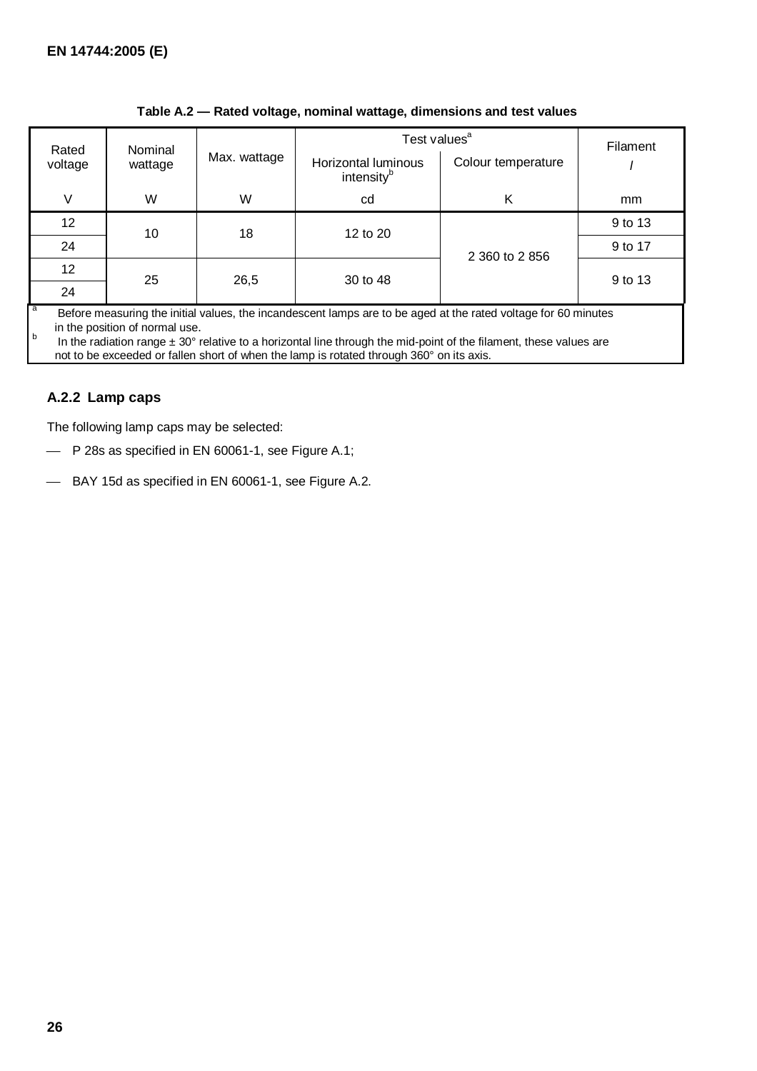| Rated                                                                                                                                                                                                                                                                                          | Nominal |              | Test values <sup>a</sup>                      |                    | Filament |
|------------------------------------------------------------------------------------------------------------------------------------------------------------------------------------------------------------------------------------------------------------------------------------------------|---------|--------------|-----------------------------------------------|--------------------|----------|
| voltage                                                                                                                                                                                                                                                                                        | wattage | Max. wattage | Horizontal luminous<br>intensity <sup>b</sup> | Colour temperature |          |
| V                                                                                                                                                                                                                                                                                              | W       | W            | cd                                            | Κ                  | mm       |
| 12                                                                                                                                                                                                                                                                                             | 10      | 18           | 12 to 20                                      |                    | 9 to 13  |
| 24                                                                                                                                                                                                                                                                                             |         |              |                                               | 2 360 to 2 856     | 9 to 17  |
| 12                                                                                                                                                                                                                                                                                             | 25      | 26,5         | 30 to 48                                      |                    | 9 to 13  |
| 24                                                                                                                                                                                                                                                                                             |         |              |                                               |                    |          |
| a<br>Before measuring the initial values, the incandescent lamps are to be aged at the rated voltage for 60 minutes<br>in the position of normal use.<br>b<br>In the radiation range $\pm$ 30 $^{\circ}$ relative to a horizontal line through the mid-point of the filament, these values are |         |              |                                               |                    |          |

#### **Table A.2 — Rated voltage, nominal wattage, dimensions and test values**

not to be exceeded or fallen short of when the lamp is rotated through 360° on its axis.

#### **A.2.2 Lamp caps**

The following lamp caps may be selected:

- P 28s as specified in EN 60061-1, see Figure A.1;
- BAY 15d as specified in EN 60061-1, see Figure A.2.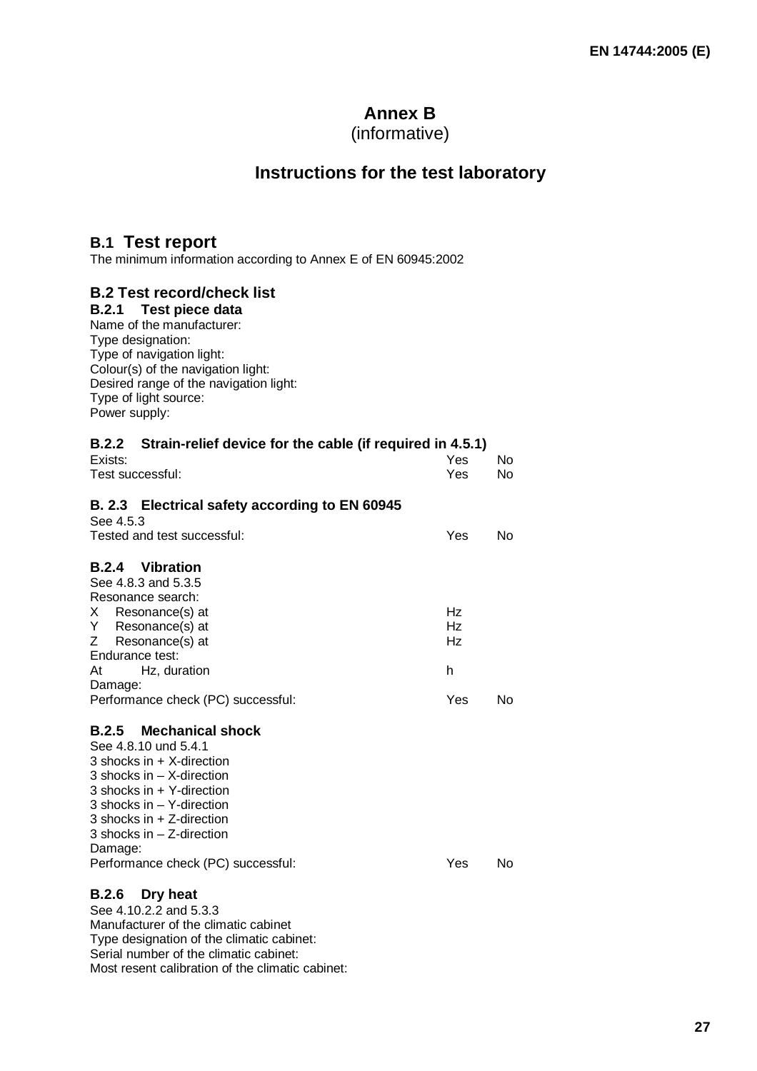# **Annex B**

(informative)

# **Instructions for the test laboratory**

# **B.1 Test report**

The minimum information according to Annex E of EN 60945:2002

## **B.2 Test record/check list**

**B.2.1 Test piece data** Name of the manufacturer: Type designation: Type of navigation light: Colour(s) of the navigation light: Desired range of the navigation light: Type of light source: Power supply:

|                                   | B.2.2 Strain-relief device for the cable (if required in 4.5.1)                                                                                                                                                                                 |                   |           |
|-----------------------------------|-------------------------------------------------------------------------------------------------------------------------------------------------------------------------------------------------------------------------------------------------|-------------------|-----------|
| Exists:<br>Test successful:       |                                                                                                                                                                                                                                                 | Yes<br><b>Yes</b> | No.<br>No |
| See 4.5.3                         | B. 2.3 Electrical safety according to EN 60945                                                                                                                                                                                                  |                   |           |
|                                   | Tested and test successful:                                                                                                                                                                                                                     | Yes               | No        |
|                                   | <b>B.2.4</b> Vibration<br>See 4.8.3 and 5.3.5<br>Resonance search:                                                                                                                                                                              |                   |           |
| X.<br>Y.<br>Z.<br>Endurance test: | Resonance(s) at<br>Resonance(s) at<br>Resonance(s) at                                                                                                                                                                                           | Hz<br>Hz<br>Hz    |           |
| At<br>Damage:                     | Hz, duration                                                                                                                                                                                                                                    | h                 |           |
|                                   | Performance check (PC) successful:                                                                                                                                                                                                              | Yes               | No        |
|                                   | <b>B.2.5</b> Mechanical shock<br>See 4.8.10 und 5.4.1<br>$3$ shocks in $+$ X-direction<br>3 shocks in $-$ X-direction<br>3 shocks in + Y-direction<br>3 shocks in $-$ Y-direction<br>3 shocks in $+$ Z-direction<br>3 shocks in $-$ Z-direction |                   |           |

Damage:

Performance check (PC) successful: Yes No

#### **B.2.6 Dry heat**

See 4.10.2.2 and 5.3.3 Manufacturer of the climatic cabinet Type designation of the climatic cabinet: Serial number of the climatic cabinet: Most resent calibration of the climatic cabinet: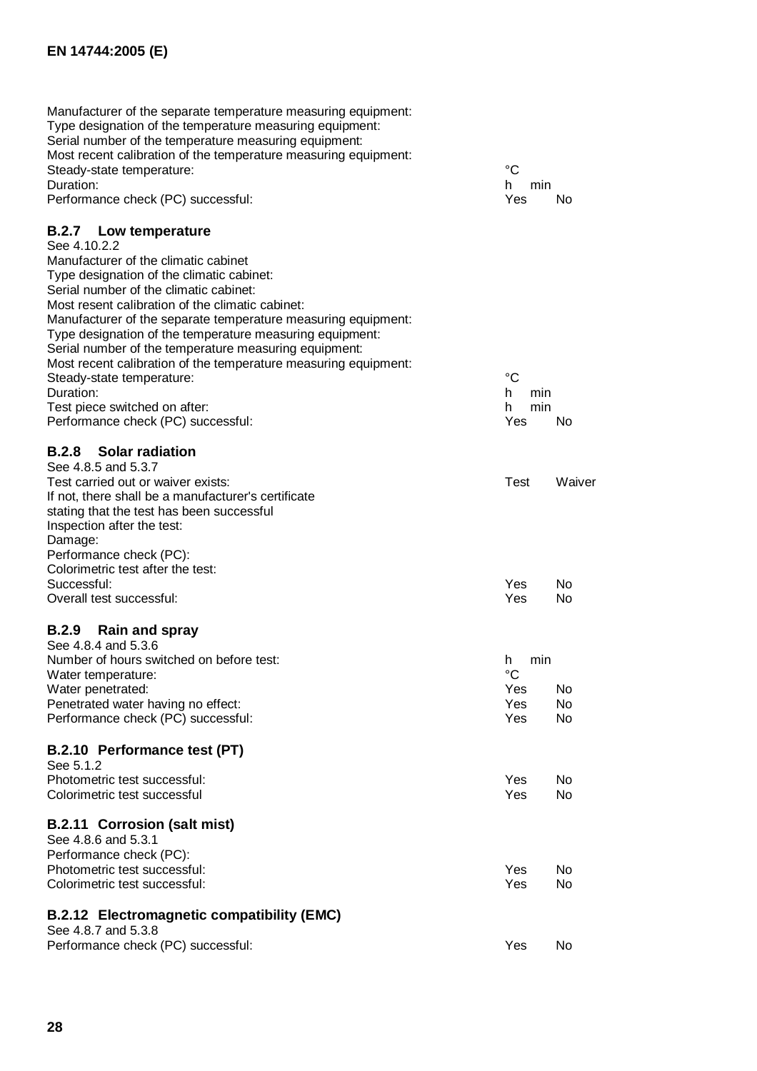Manufacturer of the separate temperature measuring equipment: Type designation of the temperature measuring equipment: Serial number of the temperature measuring equipment: Most recent calibration of the temperature measuring equipment: Steady-state temperature:<br>
Duration: 
<sup>
o</sup>C<br>
Duration:

h min Duration: h min Performance check (PC) successful:  $Y$ es No

#### **B.2.7 Low temperature**

| See 4.10.2.2                                                    |            |
|-----------------------------------------------------------------|------------|
| Manufacturer of the climatic cabinet                            |            |
| Type designation of the climatic cabinet:                       |            |
| Serial number of the climatic cabinet:                          |            |
| Most resent calibration of the climatic cabinet:                |            |
| Manufacturer of the separate temperature measuring equipment:   |            |
| Type designation of the temperature measuring equipment:        |            |
| Serial number of the temperature measuring equipment:           |            |
| Most recent calibration of the temperature measuring equipment: |            |
| Steady-state temperature:                                       | °C         |
| Duration:                                                       | h<br>min   |
| Test piece switched on after:                                   | h<br>min   |
| Performance check (PC) successful:                              | Yes<br>No. |
| <b>B.2.8</b> Solar radiation                                    |            |
| See 4.8.5 and 5.3.7                                             |            |

#### Test carried out or waiver exists: Test Waiver If not, there shall be a manufacturer's certificate stating that the test has been successful Inspection after the test: Damage: Performance check (PC): Colorimetric test after the test:<br>Successful: Successful: Yes Note and the Successful: Yes Note and the Successful: Yes Note and the Ves Note and the Ves No Overall test successful: Yes No

#### **B.2.9 Rain and spray**

| See 4.8.4 and 5.3.6                      |            |     |
|------------------------------------------|------------|-----|
| Number of hours switched on before test: | h          | min |
| Water temperature:                       | °C         |     |
| Water penetrated:                        | Yes        | No. |
| Penetrated water having no effect:       | Yes        | No. |
| Performance check (PC) successful:       | <b>Yes</b> | No  |

#### **B.2.10 Performance test (PT)**

| See 5.1.2                                  |     |           |
|--------------------------------------------|-----|-----------|
| Photometric test successful:               | Yes | No.       |
| Colorimetric test successful               | Yes | <b>No</b> |
| <b>B.2.11 Corrosion (salt mist)</b>        |     |           |
| See 4.8.6 and 5.3.1                        |     |           |
| Performance check (PC):                    |     |           |
| Photometric test successful:               | Yes | No.       |
| Colorimetric test successful:              | Yes | <b>No</b> |
| B.2.12 Electromagnetic compatibility (EMC) |     |           |

| See 4.8.7 and 5.3.8                |      |     |
|------------------------------------|------|-----|
| Performance check (PC) successful: | Yes. | No. |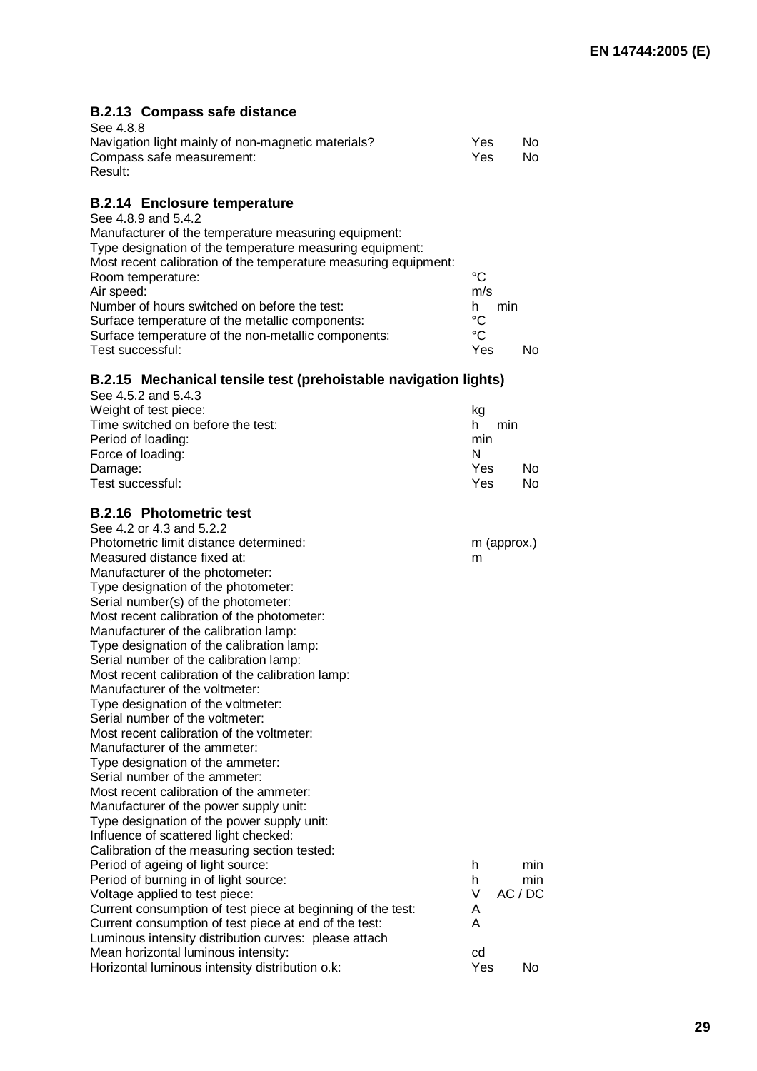# **B.2.13 Compass safe distance**

| See 4.8.8                                          |     |    |
|----------------------------------------------------|-----|----|
| Navigation light mainly of non-magnetic materials? | Yes | Nο |
| Compass safe measurement:                          | Yes | Nο |
| Result:                                            |     |    |

## **B.2.14 Enclosure temperature**

| See 4.8.9 and 5.4.2                                             |             |     |  |
|-----------------------------------------------------------------|-------------|-----|--|
| Manufacturer of the temperature measuring equipment:            |             |     |  |
| Type designation of the temperature measuring equipment:        |             |     |  |
| Most recent calibration of the temperature measuring equipment: |             |     |  |
| Room temperature:                                               | °C          |     |  |
| Air speed:                                                      | m/s         |     |  |
| Number of hours switched on before the test:                    | h           | min |  |
| Surface temperature of the metallic components:                 | °C          |     |  |
| Surface temperature of the non-metallic components:             | $^{\circ}C$ |     |  |
| Test successful:                                                | Yes         |     |  |

#### **B.2.15 Mechanical tensile test (prehoistable navigation lights)**

| No  |
|-----|
| No. |
|     |

#### **B.2.16 Photometric test**

| See 4.2 or 4.3 and 5.2.2                                    |     |             |
|-------------------------------------------------------------|-----|-------------|
| Photometric limit distance determined:                      |     | m (approx.) |
| Measured distance fixed at:                                 | m   |             |
| Manufacturer of the photometer:                             |     |             |
| Type designation of the photometer:                         |     |             |
| Serial number(s) of the photometer:                         |     |             |
| Most recent calibration of the photometer:                  |     |             |
| Manufacturer of the calibration lamp:                       |     |             |
| Type designation of the calibration lamp:                   |     |             |
| Serial number of the calibration lamp:                      |     |             |
| Most recent calibration of the calibration lamp:            |     |             |
| Manufacturer of the voltmeter:                              |     |             |
| Type designation of the voltmeter:                          |     |             |
| Serial number of the voltmeter:                             |     |             |
| Most recent calibration of the voltmeter:                   |     |             |
| Manufacturer of the ammeter:                                |     |             |
| Type designation of the ammeter:                            |     |             |
| Serial number of the ammeter:                               |     |             |
| Most recent calibration of the ammeter:                     |     |             |
| Manufacturer of the power supply unit:                      |     |             |
| Type designation of the power supply unit:                  |     |             |
| Influence of scattered light checked:                       |     |             |
| Calibration of the measuring section tested:                |     |             |
| Period of ageing of light source:                           | h   | min         |
| Period of burning in of light source:                       | h   | min         |
| Voltage applied to test piece:                              | V   | AC/DC       |
| Current consumption of test piece at beginning of the test: | A   |             |
| Current consumption of test piece at end of the test:       | A   |             |
| Luminous intensity distribution curves: please attach       |     |             |
| Mean horizontal luminous intensity:                         | cd  |             |
| Horizontal luminous intensity distribution o.k:             | Yes | No          |
|                                                             |     |             |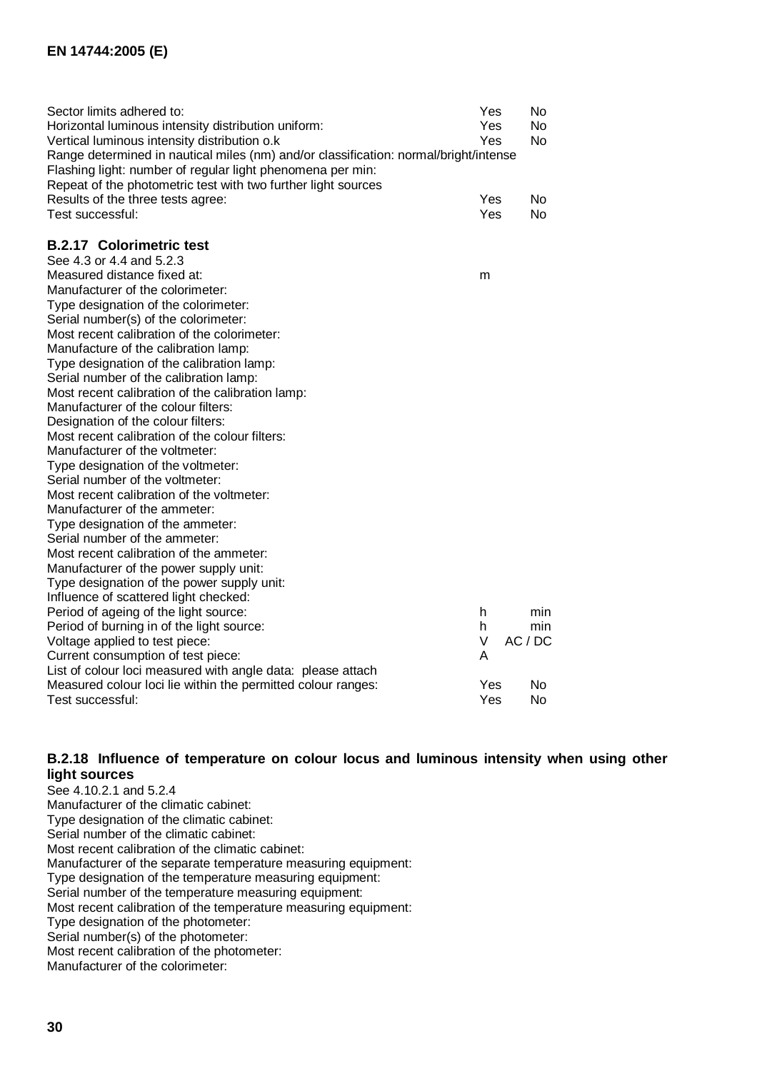| Sector limits adhered to:                                                            | Yes | No        |  |
|--------------------------------------------------------------------------------------|-----|-----------|--|
| Horizontal luminous intensity distribution uniform:                                  | Yes | No.       |  |
| Vertical luminous intensity distribution o.k                                         | Yes | No        |  |
| Range determined in nautical miles (nm) and/or classification: normal/bright/intense |     |           |  |
| Flashing light: number of regular light phenomena per min:                           |     |           |  |
| Repeat of the photometric test with two further light sources                        |     |           |  |
| Results of the three tests agree:                                                    | Yes | No.       |  |
| Test successful:                                                                     | Yes | No        |  |
|                                                                                      |     |           |  |
| <b>B.2.17 Colorimetric test</b>                                                      |     |           |  |
| See 4.3 or 4.4 and 5.2.3                                                             |     |           |  |
| Measured distance fixed at:                                                          | m   |           |  |
| Manufacturer of the colorimeter:                                                     |     |           |  |
| Type designation of the colorimeter:                                                 |     |           |  |
| Serial number(s) of the colorimeter:                                                 |     |           |  |
| Most recent calibration of the colorimeter:                                          |     |           |  |
| Manufacture of the calibration lamp:                                                 |     |           |  |
| Type designation of the calibration lamp:                                            |     |           |  |
| Serial number of the calibration lamp:                                               |     |           |  |
| Most recent calibration of the calibration lamp:                                     |     |           |  |
| Manufacturer of the colour filters:                                                  |     |           |  |
| Designation of the colour filters:                                                   |     |           |  |
| Most recent calibration of the colour filters:                                       |     |           |  |
| Manufacturer of the voltmeter:                                                       |     |           |  |
| Type designation of the voltmeter:                                                   |     |           |  |
| Serial number of the voltmeter:                                                      |     |           |  |
| Most recent calibration of the voltmeter:                                            |     |           |  |
| Manufacturer of the ammeter:                                                         |     |           |  |
| Type designation of the ammeter:                                                     |     |           |  |
| Serial number of the ammeter:                                                        |     |           |  |
| Most recent calibration of the ammeter:                                              |     |           |  |
| Manufacturer of the power supply unit:                                               |     |           |  |
| Type designation of the power supply unit:                                           |     |           |  |
| Influence of scattered light checked:                                                |     |           |  |
| Period of ageing of the light source:                                                | h   | min       |  |
| Period of burning in of the light source:                                            | h.  | min       |  |
| Voltage applied to test piece:                                                       | V   | AC/DC     |  |
| Current consumption of test piece:                                                   | А   |           |  |
| List of colour loci measured with angle data: please attach                          |     |           |  |
| Measured colour loci lie within the permitted colour ranges:                         | Yes | <b>No</b> |  |
| Test successful:                                                                     | Yes | No        |  |

#### **B.2.18 Influence of temperature on colour locus and luminous intensity when using other light sources**

See 4.10.2.1 and 5.2.4 Manufacturer of the climatic cabinet: Type designation of the climatic cabinet: Serial number of the climatic cabinet: Most recent calibration of the climatic cabinet: Manufacturer of the separate temperature measuring equipment: Type designation of the temperature measuring equipment: Serial number of the temperature measuring equipment: Most recent calibration of the temperature measuring equipment: Type designation of the photometer: Serial number(s) of the photometer: Most recent calibration of the photometer: Manufacturer of the colorimeter: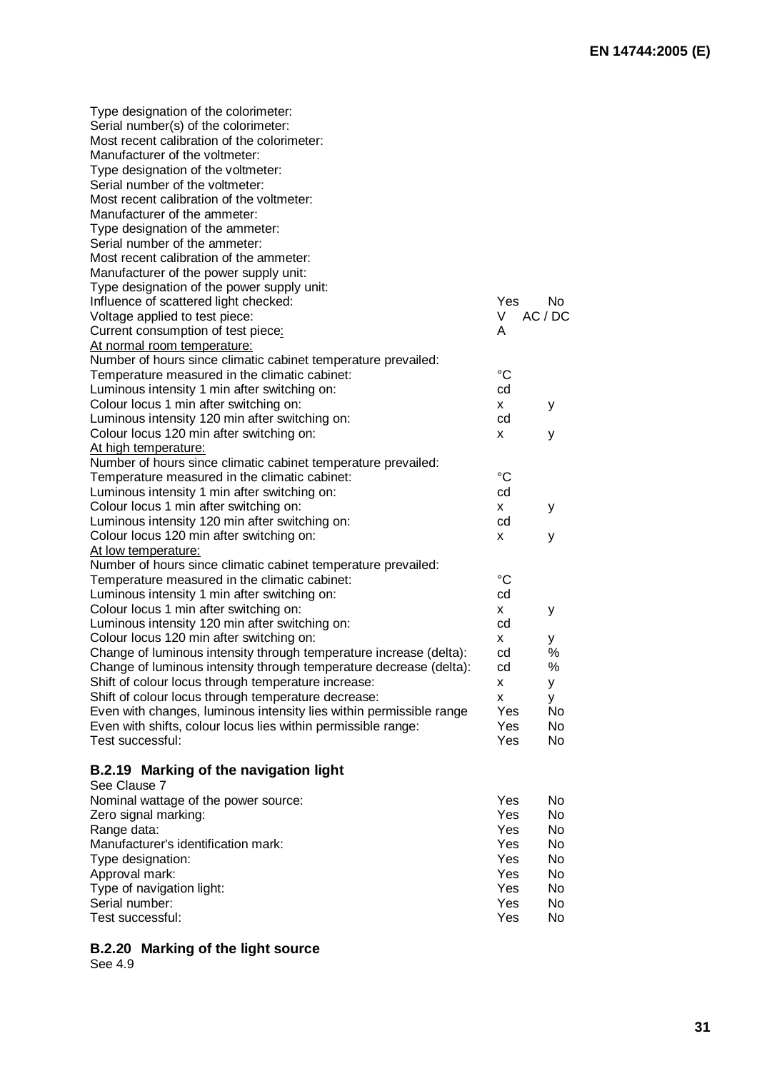| Type designation of the colorimeter:                                |                 |       |
|---------------------------------------------------------------------|-----------------|-------|
| Serial number(s) of the colorimeter:                                |                 |       |
| Most recent calibration of the colorimeter:                         |                 |       |
| Manufacturer of the voltmeter:                                      |                 |       |
| Type designation of the voltmeter:                                  |                 |       |
| Serial number of the voltmeter:                                     |                 |       |
| Most recent calibration of the voltmeter:                           |                 |       |
| Manufacturer of the ammeter:                                        |                 |       |
| Type designation of the ammeter:                                    |                 |       |
| Serial number of the ammeter:                                       |                 |       |
| Most recent calibration of the ammeter:                             |                 |       |
| Manufacturer of the power supply unit:                              |                 |       |
| Type designation of the power supply unit:                          |                 |       |
| Influence of scattered light checked:                               | Yes             | No.   |
| Voltage applied to test piece:                                      | V               | AC/DC |
| Current consumption of test piece:                                  | A               |       |
| At normal room temperature:                                         |                 |       |
| Number of hours since climatic cabinet temperature prevailed:       |                 |       |
| Temperature measured in the climatic cabinet:                       | °C              |       |
| Luminous intensity 1 min after switching on:                        | cd              |       |
| Colour locus 1 min after switching on:                              | x               | У     |
| Luminous intensity 120 min after switching on:                      | cd              |       |
| Colour locus 120 min after switching on:                            | x               | у     |
| At high temperature:                                                |                 |       |
| Number of hours since climatic cabinet temperature prevailed:       |                 |       |
| Temperature measured in the climatic cabinet:                       | °C              |       |
| Luminous intensity 1 min after switching on:                        | cd              |       |
| Colour locus 1 min after switching on:                              | X.              | У     |
| Luminous intensity 120 min after switching on:                      | cd              |       |
| Colour locus 120 min after switching on:                            | x               | y     |
| At low temperature:                                                 |                 |       |
| Number of hours since climatic cabinet temperature prevailed:       |                 |       |
| Temperature measured in the climatic cabinet:                       | $\rm ^{\circ}C$ |       |
| Luminous intensity 1 min after switching on:                        | cd              |       |
| Colour locus 1 min after switching on:                              | X.              | у     |
| Luminous intensity 120 min after switching on:                      | cd              |       |
| Colour locus 120 min after switching on:                            | X.              | У     |
| Change of luminous intensity through temperature increase (delta):  | cd              | %     |
| Change of luminous intensity through temperature decrease (delta):  | cd              | %     |
| Shift of colour locus through temperature increase:                 | x               | у     |
| Shift of colour locus through temperature decrease:                 | x               | У     |
| Even with changes, luminous intensity lies within permissible range | Yes             | No    |
| Even with shifts, colour locus lies within permissible range:       | Yes             | No    |
| Test successful:                                                    | Yes             | No    |
|                                                                     |                 |       |
| B.2.19 Marking of the navigation light                              |                 |       |
| See Clause 7                                                        |                 |       |
| Nominal wattage of the power source:                                | Yes             | No    |
| Zero signal marking:                                                | Yes             | No    |
| Range data:                                                         | Yes             | No    |
| Manufacturer's identification mark:                                 | Yes             | No    |
| Type designation:                                                   | Yes             | No    |
| Approval mark:                                                      | Yes             | No    |
| Type of navigation light:                                           | Yes             | No    |
| Serial number:                                                      | Yes             | No    |
| Test successful:                                                    | Yes             | No    |
|                                                                     |                 |       |

# **B.2.20 Marking of the light source**

See 4.9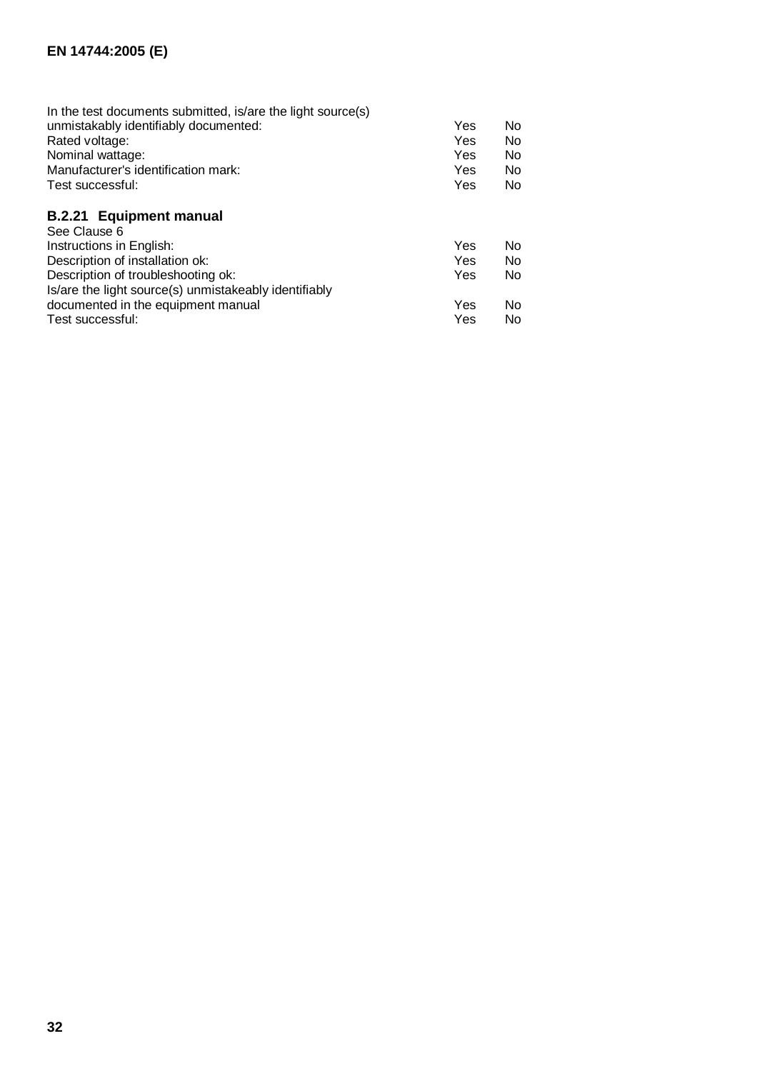| Yes | <b>No</b> |
|-----|-----------|
| Yes | <b>No</b> |
| Yes | <b>No</b> |
| Yes | No.       |
| Yes | <b>No</b> |
|     |           |
|     |           |
| Yes | <b>No</b> |
| Yes | <b>No</b> |
| Yes | <b>No</b> |
|     |           |
| Yes | No        |
| Yes | No        |
|     |           |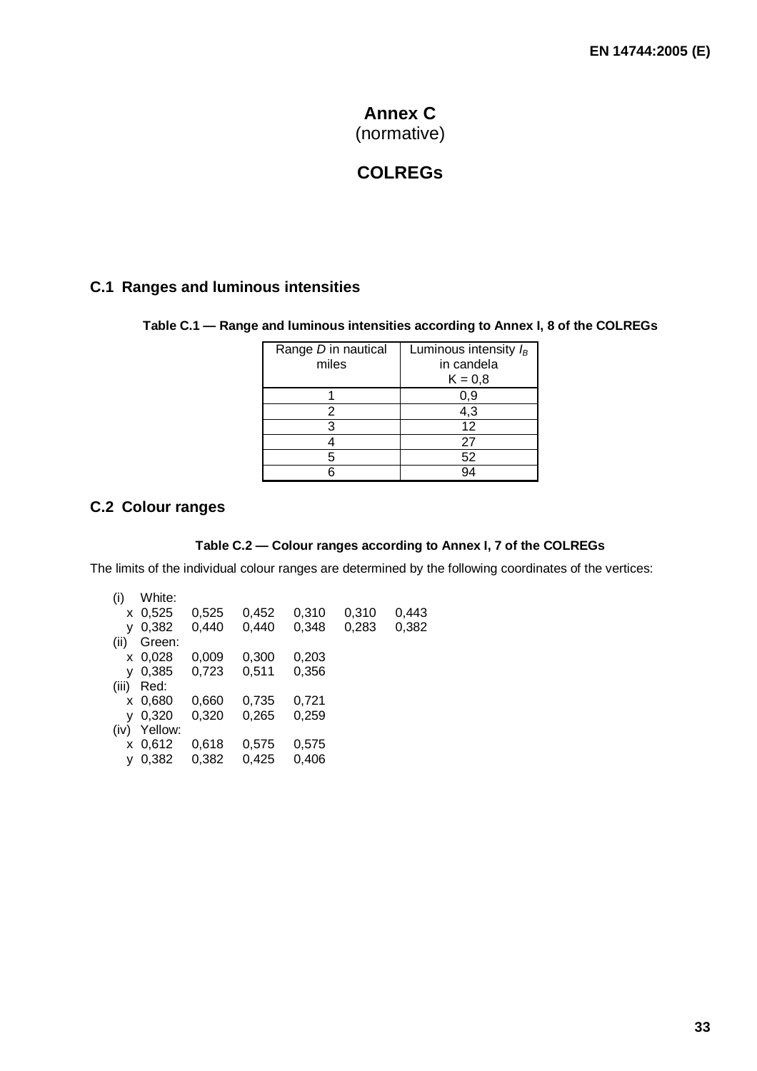# **Annex C** (normative)

# **COLREGs**

# **C.1 Ranges and luminous intensities**

#### **Table C.1 — Range and luminous intensities according to Annex I, 8 of the COLREGs**

| Range D in nautical | Luminous intensity $I_B$ |  |  |  |
|---------------------|--------------------------|--|--|--|
| miles               | in candela               |  |  |  |
|                     | $K = 0,8$                |  |  |  |
|                     | 0,9                      |  |  |  |
|                     | 4,3                      |  |  |  |
|                     | 12                       |  |  |  |
|                     | 27                       |  |  |  |
| г,                  | 52                       |  |  |  |
|                     |                          |  |  |  |

# **C.2 Colour ranges**

#### **Table C.2 — Colour ranges according to Annex I, 7 of the COLREGs**

The limits of the individual colour ranges are determined by the following coordinates of the vertices:

| (i)   | White:      |       |       |       |       |       |
|-------|-------------|-------|-------|-------|-------|-------|
|       | $x \ 0,525$ | 0,525 | 0.452 | 0,310 | 0.310 | 0,443 |
| v     | 0,382       | 0,440 | 0,440 | 0.348 | 0,283 | 0,382 |
| (ii)  | Green:      |       |       |       |       |       |
|       | x 0,028     | 0,009 | 0,300 | 0.203 |       |       |
| v     | 0,385       | 0,723 | 0,511 | 0,356 |       |       |
| (iii) | Red:        |       |       |       |       |       |
|       | x 0,680     | 0,660 | 0,735 | 0,721 |       |       |
|       | 0,320       | 0,320 | 0,265 | 0,259 |       |       |
| (iv)  | Yellow:     |       |       |       |       |       |
|       | $x\,0.612$  | 0.618 | 0,575 | 0,575 |       |       |
|       | 0,382       | 0,382 | 0,425 | 0,406 |       |       |
|       |             |       |       |       |       |       |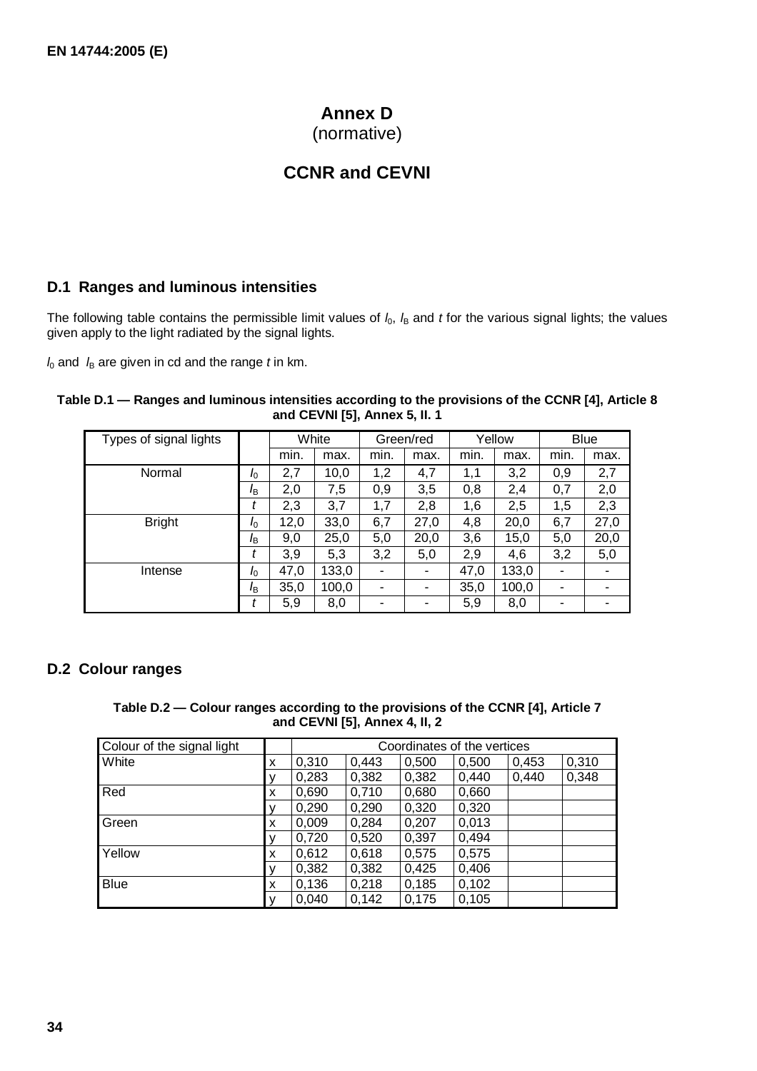# **Annex D**

(normative)

# **CCNR and CEVNI**

# **D.1 Ranges and luminous intensities**

The following table contains the permissible limit values of  $l_0$ ,  $l_B$  and *t* for the various signal lights; the values given apply to the light radiated by the signal lights.

 $l_0$  and  $l_B$  are given in cd and the range  $t$  in km.

| Table D.1 — Ranges and luminous intensities according to the provisions of the CCNR [4], Article 8 |  |
|----------------------------------------------------------------------------------------------------|--|
| and CEVNI [5], Annex 5, II. 1                                                                      |  |

| Types of signal lights |                       | White |       | Green/red |      | Yellow |       | <b>Blue</b> |      |
|------------------------|-----------------------|-------|-------|-----------|------|--------|-------|-------------|------|
|                        |                       | min.  | max.  | min.      | max. | min.   | max.  | min.        | max. |
| Normal                 | I <sub>0</sub>        | 2,7   | 10,0  | 1,2       | 4,7  | 1.1    | 3,2   | 0,9         | 2,7  |
|                        | I <sub>B</sub>        | 2,0   | 7,5   | 0,9       | 3,5  | 0,8    | 2,4   | 0,7         | 2,0  |
|                        | t                     | 2,3   | 3,7   | 1,7       | 2,8  | 1,6    | 2,5   | 1,5         | 2,3  |
| <b>Bright</b>          | $I_{\odot}$           | 12,0  | 33,0  | 6,7       | 27,0 | 4,8    | 20,0  | 6,7         | 27,0 |
|                        | <i>l</i> <sub>R</sub> | 9,0   | 25,0  | 5,0       | 20,0 | 3,6    | 15,0  | 5,0         | 20,0 |
|                        |                       | 3,9   | 5,3   | 3,2       | 5,0  | 2,9    | 4,6   | 3,2         | 5,0  |
| Intense                | $I_0$                 | 47,0  | 133,0 | ۰         |      | 47,0   | 133,0 |             |      |
|                        | I <sub>B</sub>        | 35,0  | 100,0 | ۰         | ۰    | 35,0   | 100,0 | ۰           |      |
|                        |                       | 5,9   | 8,0   | ۰         | ۰    | 5,9    | 8,0   | ۰           |      |

#### **D.2 Colour ranges**

#### **Table D.2 — Colour ranges according to the provisions of the CCNR [4], Article 7 and CEVNI [5], Annex 4, II, 2**

| Colour of the signal light |   | Coordinates of the vertices |       |       |       |       |       |
|----------------------------|---|-----------------------------|-------|-------|-------|-------|-------|
| White                      | x | 0,310                       | 0,443 | 0,500 | 0,500 | 0,453 | 0,310 |
|                            |   | 0,283                       | 0,382 | 0,382 | 0,440 | 0,440 | 0,348 |
| Red                        | X | 0,690                       | 0,710 | 0,680 | 0,660 |       |       |
|                            |   | 0,290                       | 0,290 | 0,320 | 0,320 |       |       |
| Green                      | x | 0,009                       | 0,284 | 0,207 | 0,013 |       |       |
|                            |   | 0,720                       | 0,520 | 0,397 | 0,494 |       |       |
| Yellow                     | X | 0,612                       | 0,618 | 0,575 | 0,575 |       |       |
|                            |   | 0,382                       | 0,382 | 0,425 | 0,406 |       |       |
| <b>Blue</b>                | X | 0,136                       | 0,218 | 0,185 | 0,102 |       |       |
|                            |   | 0,040                       | 0,142 | 0,175 | 0,105 |       |       |